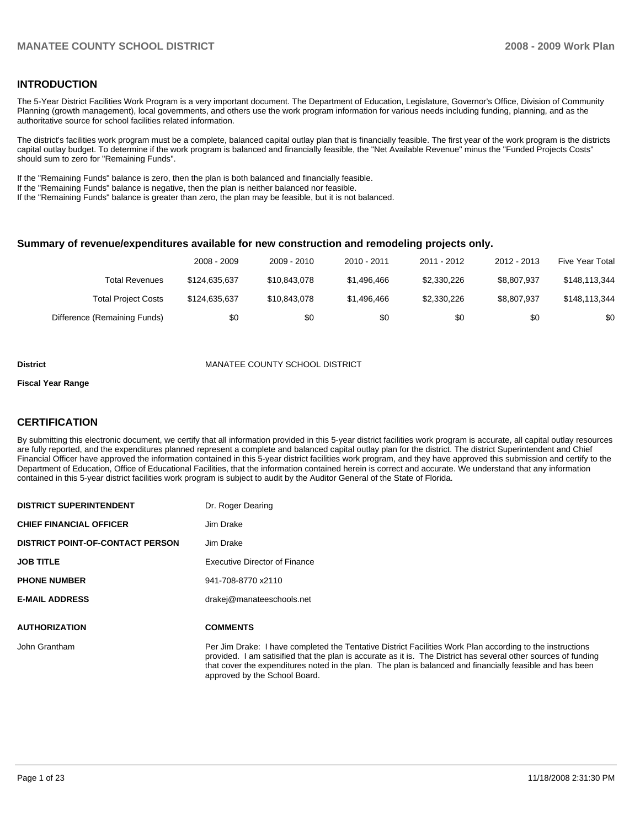#### **INTRODUCTION**

The 5-Year District Facilities Work Program is a very important document. The Department of Education, Legislature, Governor's Office, Division of Community Planning (growth management), local governments, and others use the work program information for various needs including funding, planning, and as the authoritative source for school facilities related information.

The district's facilities work program must be a complete, balanced capital outlay plan that is financially feasible. The first year of the work program is the districts capital outlay budget. To determine if the work program is balanced and financially feasible, the "Net Available Revenue" minus the "Funded Projects Costs" should sum to zero for "Remaining Funds".

If the "Remaining Funds" balance is zero, then the plan is both balanced and financially feasible.

If the "Remaining Funds" balance is negative, then the plan is neither balanced nor feasible.

If the "Remaining Funds" balance is greater than zero, the plan may be feasible, but it is not balanced.

#### **Summary of revenue/expenditures available for new construction and remodeling projects only.**

|                              | 2008 - 2009   | 2009 - 2010  | 2010 - 2011 | 2011 - 2012 | 2012 - 2013 | <b>Five Year Total</b> |
|------------------------------|---------------|--------------|-------------|-------------|-------------|------------------------|
| Total Revenues               | \$124,635,637 | \$10,843,078 | \$1,496,466 | \$2,330,226 | \$8,807.937 | \$148,113,344          |
| <b>Total Project Costs</b>   | \$124.635.637 | \$10,843,078 | \$1,496,466 | \$2,330,226 | \$8,807,937 | \$148,113,344          |
| Difference (Remaining Funds) | \$0           | \$0          | \$0         | \$0         | \$0         | \$0                    |

#### **District COUNTY SCHOOL DISTRICT**

#### **Fiscal Year Range**

#### **CERTIFICATION**

By submitting this electronic document, we certify that all information provided in this 5-year district facilities work program is accurate, all capital outlay resources are fully reported, and the expenditures planned represent a complete and balanced capital outlay plan for the district. The district Superintendent and Chief Financial Officer have approved the information contained in this 5-year district facilities work program, and they have approved this submission and certify to the Department of Education, Office of Educational Facilities, that the information contained herein is correct and accurate. We understand that any information contained in this 5-year district facilities work program is subject to audit by the Auditor General of the State of Florida.

| <b>DISTRICT SUPERINTENDENT</b>          | Dr. Roger Dearing                                                            |
|-----------------------------------------|------------------------------------------------------------------------------|
| <b>CHIEF FINANCIAL OFFICER</b>          | Jim Drake                                                                    |
| <b>DISTRICT POINT-OF-CONTACT PERSON</b> | Jim Drake                                                                    |
| <b>JOB TITLE</b>                        | Executive Director of Finance                                                |
| <b>PHONE NUMBER</b>                     | 941-708-8770 x2110                                                           |
| <b>E-MAIL ADDRESS</b>                   | drakej@manateeschools.net                                                    |
| <b>AUTHORIZATION</b>                    | <b>COMMENTS</b>                                                              |
| John Grantham                           | Per Jim Drake: I have completed th<br>provided. I am satisified that the pla |

le Tentative District Facilities Work Plan according to the instructions an is accurate as it is. The District has several other sources of funding that cover the expenditures noted in the plan. The plan is balanced and financially feasible and has been approved by the School Board.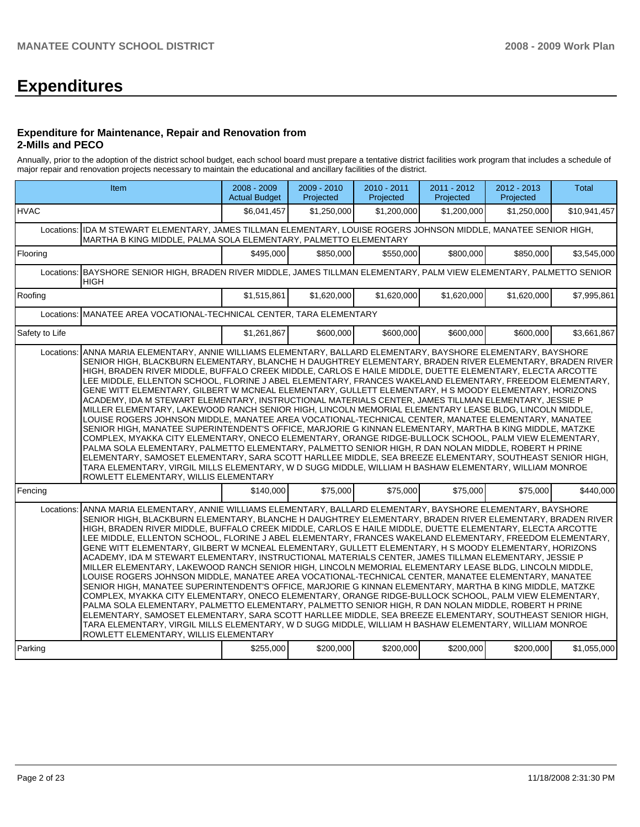# **Expenditures**

#### **Expenditure for Maintenance, Repair and Renovation from 2-Mills and PECO**

Annually, prior to the adoption of the district school budget, each school board must prepare a tentative district facilities work program that includes a schedule of major repair and renovation projects necessary to maintain the educational and ancillary facilities of the district.

|                | Item                                                                                                                                                                                                                                                                                                                                                                                                                                                                                                                                                                                                                                                                                                                                                                                                                                                                                                                                                                                                                                                                                                                                                                                                                                                                                                                                                                                                                                                                     | 2008 - 2009<br><b>Actual Budget</b> | 2009 - 2010<br>Projected | 2010 - 2011<br>Projected | 2011 - 2012<br>Projected | 2012 - 2013<br>Projected | <b>Total</b> |  |  |
|----------------|--------------------------------------------------------------------------------------------------------------------------------------------------------------------------------------------------------------------------------------------------------------------------------------------------------------------------------------------------------------------------------------------------------------------------------------------------------------------------------------------------------------------------------------------------------------------------------------------------------------------------------------------------------------------------------------------------------------------------------------------------------------------------------------------------------------------------------------------------------------------------------------------------------------------------------------------------------------------------------------------------------------------------------------------------------------------------------------------------------------------------------------------------------------------------------------------------------------------------------------------------------------------------------------------------------------------------------------------------------------------------------------------------------------------------------------------------------------------------|-------------------------------------|--------------------------|--------------------------|--------------------------|--------------------------|--------------|--|--|
| <b>HVAC</b>    |                                                                                                                                                                                                                                                                                                                                                                                                                                                                                                                                                                                                                                                                                                                                                                                                                                                                                                                                                                                                                                                                                                                                                                                                                                                                                                                                                                                                                                                                          | \$6,041,457                         | \$1,250,000              | \$1,200,000              | \$1,200,000              | \$1,250,000              | \$10,941,457 |  |  |
|                | Locations: IDA M STEWART ELEMENTARY, JAMES TILLMAN ELEMENTARY, LOUISE ROGERS JOHNSON MIDDLE, MANATEE SENIOR HIGH,<br>MARTHA B KING MIDDLE, PALMA SOLA ELEMENTARY, PALMETTO ELEMENTARY                                                                                                                                                                                                                                                                                                                                                                                                                                                                                                                                                                                                                                                                                                                                                                                                                                                                                                                                                                                                                                                                                                                                                                                                                                                                                    |                                     |                          |                          |                          |                          |              |  |  |
| Flooring       |                                                                                                                                                                                                                                                                                                                                                                                                                                                                                                                                                                                                                                                                                                                                                                                                                                                                                                                                                                                                                                                                                                                                                                                                                                                                                                                                                                                                                                                                          | \$495,000                           | \$850.000                | \$550.000                | \$800,000                | \$850,000                | \$3,545,000  |  |  |
| Locations:     | BAYSHORE SENIOR HIGH, BRADEN RIVER MIDDLE, JAMES TILLMAN ELEMENTARY, PALM VIEW ELEMENTARY, PALMETTO SENIOR<br><b>HIGH</b>                                                                                                                                                                                                                                                                                                                                                                                                                                                                                                                                                                                                                                                                                                                                                                                                                                                                                                                                                                                                                                                                                                                                                                                                                                                                                                                                                |                                     |                          |                          |                          |                          |              |  |  |
| Roofing        |                                                                                                                                                                                                                                                                                                                                                                                                                                                                                                                                                                                                                                                                                                                                                                                                                                                                                                                                                                                                                                                                                                                                                                                                                                                                                                                                                                                                                                                                          | \$1,515,861                         | \$1,620,000              | \$1,620,000              | \$1,620,000              | \$1,620,000              | \$7,995,861  |  |  |
| Locations:     | MANATEE AREA VOCATIONAL-TECHNICAL CENTER, TARA ELEMENTARY                                                                                                                                                                                                                                                                                                                                                                                                                                                                                                                                                                                                                                                                                                                                                                                                                                                                                                                                                                                                                                                                                                                                                                                                                                                                                                                                                                                                                |                                     |                          |                          |                          |                          |              |  |  |
| Safety to Life |                                                                                                                                                                                                                                                                                                                                                                                                                                                                                                                                                                                                                                                                                                                                                                                                                                                                                                                                                                                                                                                                                                                                                                                                                                                                                                                                                                                                                                                                          | \$1,261,867                         | \$600,000                | \$600,000                | \$600,000                | \$600,000                | \$3,661,867  |  |  |
| Locations:     | ANNA MARIA ELEMENTARY, ANNIE WILLIAMS ELEMENTARY, BALLARD ELEMENTARY, BAYSHORE ELEMENTARY, BAYSHORE<br>SENIOR HIGH, BLACKBURN ELEMENTARY, BLANCHE H DAUGHTREY ELEMENTARY, BRADEN RIVER ELEMENTARY, BRADEN RIVER<br>HIGH, BRADEN RIVER MIDDLE, BUFFALO CREEK MIDDLE, CARLOS E HAILE MIDDLE, DUETTE ELEMENTARY, ELECTA ARCOTTE<br>LEE MIDDLE, ELLENTON SCHOOL, FLORINE J ABEL ELEMENTARY, FRANCES WAKELAND ELEMENTARY, FREEDOM ELEMENTARY,<br>GENE WITT ELEMENTARY, GILBERT W MCNEAL ELEMENTARY, GULLETT ELEMENTARY, H S MOODY ELEMENTARY, HORIZONS<br>ACADEMY, IDA M STEWART ELEMENTARY, INSTRUCTIONAL MATERIALS CENTER, JAMES TILLMAN ELEMENTARY, JESSIE P<br>MILLER ELEMENTARY, LAKEWOOD RANCH SENIOR HIGH, LINCOLN MEMORIAL ELEMENTARY LEASE BLDG, LINCOLN MIDDLE,<br>LOUISE ROGERS JOHNSON MIDDLE, MANATEE AREA VOCATIONAL-TECHNICAL CENTER, MANATEE ELEMENTARY, MANATEE<br>SENIOR HIGH, MANATEE SUPERINTENDENT'S OFFICE, MARJORIE G KINNAN ELEMENTARY, MARTHA B KING MIDDLE, MATZKE<br>COMPLEX, MYAKKA CITY ELEMENTARY, ONECO ELEMENTARY, ORANGE RIDGE-BULLOCK SCHOOL, PALM VIEW ELEMENTARY,<br>PALMA SOLA ELEMENTARY, PALMETTO ELEMENTARY, PALMETTO SENIOR HIGH, R DAN NOLAN MIDDLE, ROBERT H PRINE<br>ELEMENTARY, SAMOSET ELEMENTARY, SARA SCOTT HARLLEE MIDDLE, SEA BREEZE ELEMENTARY, SOUTHEAST SENIOR HIGH,<br>TARA ELEMENTARY, VIRGIL MILLS ELEMENTARY, W D SUGG MIDDLE, WILLIAM H BASHAW ELEMENTARY, WILLIAM MONROE<br>ROWLETT ELEMENTARY, WILLIS ELEMENTARY  |                                     |                          |                          |                          |                          |              |  |  |
| Fencing        |                                                                                                                                                                                                                                                                                                                                                                                                                                                                                                                                                                                                                                                                                                                                                                                                                                                                                                                                                                                                                                                                                                                                                                                                                                                                                                                                                                                                                                                                          | \$140,000                           | \$75,000                 | \$75,000                 | \$75,000                 | \$75,000                 | \$440,000    |  |  |
| Locations:     | ANNA MARIA ELEMENTARY, ANNIE WILLIAMS ELEMENTARY, BALLARD ELEMENTARY, BAYSHORE ELEMENTARY, BAYSHORE<br>SENIOR HIGH, BLACKBURN ELEMENTARY, BLANCHE H DAUGHTREY ELEMENTARY, BRADEN RIVER ELEMENTARY, BRADEN RIVER<br>HIGH, BRADEN RIVER MIDDLE, BUFFALO CREEK MIDDLE, CARLOS E HAILE MIDDLE, DUETTE ELEMENTARY, ELECTA ARCOTTE<br>LEE MIDDLE, ELLENTON SCHOOL, FLORINE J ABEL ELEMENTARY, FRANCES WAKELAND ELEMENTARY, FREEDOM ELEMENTARY,<br>GENE WITT ELEMENTARY, GILBERT W MCNEAL ELEMENTARY, GULLETT ELEMENTARY, H S MOODY ELEMENTARY, HORIZONS<br>ACADEMY, IDA M STEWART ELEMENTARY, INSTRUCTIONAL MATERIALS CENTER, JAMES TILLMAN ELEMENTARY, JESSIE P<br>MILLER ELEMENTARY, LAKEWOOD RANCH SENIOR HIGH, LINCOLN MEMORIAL ELEMENTARY LEASE BLDG, LINCOLN MIDDLE,<br>LOUISE ROGERS JOHNSON MIDDLE, MANATEE AREA VOCATIONAL-TECHNICAL CENTER, MANATEE ELEMENTARY, MANATEE<br>SENIOR HIGH, MANATEE SUPERINTENDENT'S OFFICE, MARJORIE G KINNAN ELEMENTARY, MARTHA B KING MIDDLE, MATZKE<br>COMPLEX, MYAKKA CITY ELEMENTARY, ONECO ELEMENTARY, ORANGE RIDGE-BULLOCK SCHOOL, PALM VIEW ELEMENTARY,<br>PALMA SOLA ELEMENTARY, PALMETTO ELEMENTARY, PALMETTO SENIOR HIGH, R DAN NOLAN MIDDLE, ROBERT H PRINE<br> ELEMENTARY, SAMOSET ELEMENTARY, SARA SCOTT HARLLEE MIDDLE, SEA BREEZE ELEMENTARY, SOUTHEAST SENIOR HIGH,<br>TARA ELEMENTARY. VIRGIL MILLS ELEMENTARY. W D SUGG MIDDLE. WILLIAM H BASHAW ELEMENTARY. WILLIAM MONROE<br>ROWLETT ELEMENTARY, WILLIS ELEMENTARY |                                     |                          |                          |                          |                          |              |  |  |
| Parking        |                                                                                                                                                                                                                                                                                                                                                                                                                                                                                                                                                                                                                                                                                                                                                                                                                                                                                                                                                                                                                                                                                                                                                                                                                                                                                                                                                                                                                                                                          | \$255,000                           | \$200,000                | \$200,000                | \$200,000                | \$200,000                | \$1,055,000  |  |  |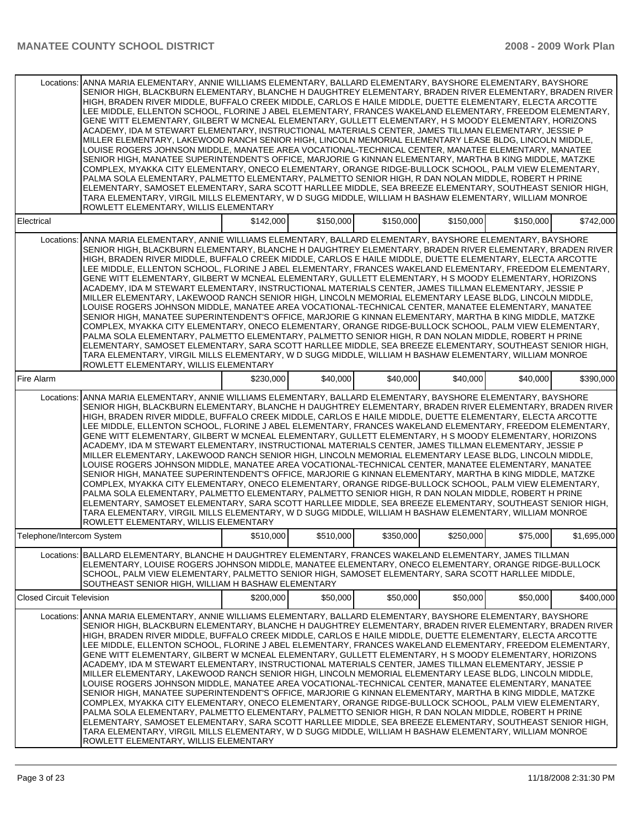|                                  | Locations: ANNA MARIA ELEMENTARY, ANNIE WILLIAMS ELEMENTARY, BALLARD ELEMENTARY, BAYSHORE ELEMENTARY, BAYSHORE<br>SENIOR HIGH, BLACKBURN ELEMENTARY, BLANCHE H DAUGHTREY ELEMENTARY, BRADEN RIVER ELEMENTARY, BRADEN RIVER<br>HIGH, BRADEN RIVER MIDDLE, BUFFALO CREEK MIDDLE, CARLOS E HAILE MIDDLE, DUETTE ELEMENTARY, ELECTA ARCOTTE<br>LEE MIDDLE, ELLENTON SCHOOL, FLORINE J ABEL ELEMENTARY, FRANCES WAKELAND ELEMENTARY, FREEDOM ELEMENTARY,<br>GENE WITT ELEMENTARY, GILBERT W MCNEAL ELEMENTARY, GULLETT ELEMENTARY, H S MOODY ELEMENTARY, HORIZONS<br>ACADEMY, IDA M STEWART ELEMENTARY, INSTRUCTIONAL MATERIALS CENTER, JAMES TILLMAN ELEMENTARY, JESSIE P<br>MILLER ELEMENTARY, LAKEWOOD RANCH SENIOR HIGH, LINCOLN MEMORIAL ELEMENTARY LEASE BLDG, LINCOLN MIDDLE,<br>LOUISE ROGERS JOHNSON MIDDLE, MANATEE AREA VOCATIONAL-TECHNICAL CENTER, MANATEE ELEMENTARY, MANATEE<br>SENIOR HIGH, MANATEE SUPERINTENDENT'S OFFICE, MARJORIE G KINNAN ELEMENTARY, MARTHA B KING MIDDLE, MATZKE<br>COMPLEX, MYAKKA CITY ELEMENTARY, ONECO ELEMENTARY, ORANGE RIDGE-BULLOCK SCHOOL, PALM VIEW ELEMENTARY,<br>PALMA SOLA ELEMENTARY, PALMETTO ELEMENTARY, PALMETTO SENIOR HIGH, R DAN NOLAN MIDDLE, ROBERT H PRINE<br>ELEMENTARY, SAMOSET ELEMENTARY, SARA SCOTT HARLLEE MIDDLE, SEA BREEZE ELEMENTARY, SOUTHEAST SENIOR HIGH.<br>TARA ELEMENTARY, VIRGIL MILLS ELEMENTARY, W D SUGG MIDDLE, WILLIAM H BASHAW ELEMENTARY, WILLIAM MONROE<br>ROWLETT ELEMENTARY, WILLIS ELEMENTARY  |           |           |           |           |           |             |
|----------------------------------|-------------------------------------------------------------------------------------------------------------------------------------------------------------------------------------------------------------------------------------------------------------------------------------------------------------------------------------------------------------------------------------------------------------------------------------------------------------------------------------------------------------------------------------------------------------------------------------------------------------------------------------------------------------------------------------------------------------------------------------------------------------------------------------------------------------------------------------------------------------------------------------------------------------------------------------------------------------------------------------------------------------------------------------------------------------------------------------------------------------------------------------------------------------------------------------------------------------------------------------------------------------------------------------------------------------------------------------------------------------------------------------------------------------------------------------------------------------------------------------|-----------|-----------|-----------|-----------|-----------|-------------|
| Electrical                       |                                                                                                                                                                                                                                                                                                                                                                                                                                                                                                                                                                                                                                                                                                                                                                                                                                                                                                                                                                                                                                                                                                                                                                                                                                                                                                                                                                                                                                                                                     | \$142,000 | \$150,000 | \$150,000 | \$150,000 | \$150,000 | \$742,000   |
|                                  | Locations: ANNA MARIA ELEMENTARY, ANNIE WILLIAMS ELEMENTARY, BALLARD ELEMENTARY, BAYSHORE ELEMENTARY, BAYSHORE<br>SENIOR HIGH, BLACKBURN ELEMENTARY, BLANCHE H DAUGHTREY ELEMENTARY, BRADEN RIVER ELEMENTARY, BRADEN RIVER<br>HIGH, BRADEN RIVER MIDDLE, BUFFALO CREEK MIDDLE, CARLOS E HAILE MIDDLE, DUETTE ELEMENTARY, ELECTA ARCOTTE<br>LEE MIDDLE, ELLENTON SCHOOL, FLORINE J ABEL ELEMENTARY, FRANCES WAKELAND ELEMENTARY, FREEDOM ELEMENTARY,<br>GENE WITT ELEMENTARY, GILBERT W MCNEAL ELEMENTARY, GULLETT ELEMENTARY, H S MOODY ELEMENTARY, HORIZONS<br>ACADEMY, IDA M STEWART ELEMENTARY, INSTRUCTIONAL MATERIALS CENTER, JAMES TILLMAN ELEMENTARY, JESSIE P<br>MILLER ELEMENTARY, LAKEWOOD RANCH SENIOR HIGH, LINCOLN MEMORIAL ELEMENTARY LEASE BLDG, LINCOLN MIDDLE,<br>LOUISE ROGERS JOHNSON MIDDLE, MANATEE AREA VOCATIONAL-TECHNICAL CENTER, MANATEE ELEMENTARY, MANATEE<br>SENIOR HIGH, MANATEE SUPERINTENDENT'S OFFICE, MARJORIE G KINNAN ELEMENTARY, MARTHA B KING MIDDLE, MATZKE<br>COMPLEX, MYAKKA CITY ELEMENTARY, ONECO ELEMENTARY, ORANGE RIDGE-BULLOCK SCHOOL, PALM VIEW ELEMENTARY,<br>PALMA SOLA ELEMENTARY, PALMETTO ELEMENTARY, PALMETTO SENIOR HIGH, R DAN NOLAN MIDDLE, ROBERT H PRINE<br>ELEMENTARY, SAMOSET ELEMENTARY, SARA SCOTT HARLLEE MIDDLE, SEA BREEZE ELEMENTARY, SOUTHEAST SENIOR HIGH,<br>TARA ELEMENTARY, VIRGIL MILLS ELEMENTARY, W D SUGG MIDDLE, WILLIAM H BASHAW ELEMENTARY, WILLIAM MONROE<br>ROWLETT ELEMENTARY, WILLIS ELEMENTARY  |           |           |           |           |           |             |
| Fire Alarm                       |                                                                                                                                                                                                                                                                                                                                                                                                                                                                                                                                                                                                                                                                                                                                                                                                                                                                                                                                                                                                                                                                                                                                                                                                                                                                                                                                                                                                                                                                                     | \$230,000 | \$40,000  | \$40,000  | \$40,000  | \$40,000  | \$390,000   |
| Locations:                       | ANNA MARIA ELEMENTARY, ANNIE WILLIAMS ELEMENTARY, BALLARD ELEMENTARY, BAYSHORE ELEMENTARY, BAYSHORE<br>SENIOR HIGH, BLACKBURN ELEMENTARY, BLANCHE H DAUGHTREY ELEMENTARY, BRADEN RIVER ELEMENTARY, BRADEN RIVER<br>HIGH, BRADEN RIVER MIDDLE, BUFFALO CREEK MIDDLE, CARLOS E HAILE MIDDLE, DUETTE ELEMENTARY, ELECTA ARCOTTE<br>LEE MIDDLE, ELLENTON SCHOOL, FLORINE J ABEL ELEMENTARY, FRANCES WAKELAND ELEMENTARY, FREEDOM ELEMENTARY,<br>GENE WITT ELEMENTARY, GILBERT W MCNEAL ELEMENTARY, GULLETT ELEMENTARY, H S MOODY ELEMENTARY, HORIZONS<br>ACADEMY, IDA M STEWART ELEMENTARY, INSTRUCTIONAL MATERIALS CENTER, JAMES TILLMAN ELEMENTARY, JESSIE P<br>MILLER ELEMENTARY, LAKEWOOD RANCH SENIOR HIGH, LINCOLN MEMORIAL ELEMENTARY LEASE BLDG, LINCOLN MIDDLE,<br>LOUISE ROGERS JOHNSON MIDDLE, MANATEE AREA VOCATIONAL-TECHNICAL CENTER, MANATEE ELEMENTARY, MANATEE<br>SENIOR HIGH, MANATEE SUPERINTENDENT'S OFFICE, MARJORIE G KINNAN ELEMENTARY, MARTHA B KING MIDDLE, MATZKE<br>COMPLEX, MYAKKA CITY ELEMENTARY, ONECO ELEMENTARY, ORANGE RIDGE-BULLOCK SCHOOL, PALM VIEW ELEMENTARY,<br>PALMA SOLA ELEMENTARY, PALMETTO ELEMENTARY, PALMETTO SENIOR HIGH, R DAN NOLAN MIDDLE, ROBERT H PRINE<br>ELEMENTARY, SAMOSET ELEMENTARY, SARA SCOTT HARLLEE MIDDLE, SEA BREEZE ELEMENTARY, SOUTHEAST SENIOR HIGH,<br>TARA ELEMENTARY, VIRGIL MILLS ELEMENTARY, W D SUGG MIDDLE, WILLIAM H BASHAW ELEMENTARY, WILLIAM MONROE<br>ROWLETT ELEMENTARY, WILLIS ELEMENTARY             |           |           |           |           |           |             |
| Telephone/Intercom System        |                                                                                                                                                                                                                                                                                                                                                                                                                                                                                                                                                                                                                                                                                                                                                                                                                                                                                                                                                                                                                                                                                                                                                                                                                                                                                                                                                                                                                                                                                     | \$510,000 | \$510,000 | \$350,000 | \$250.000 | \$75,000  | \$1,695,000 |
| Locations:                       | BALLARD ELEMENTARY, BLANCHE H DAUGHTREY ELEMENTARY, FRANCES WAKELAND ELEMENTARY, JAMES TILLMAN<br>ELEMENTARY, LOUISE ROGERS JOHNSON MIDDLE, MANATEE ELEMENTARY, ONECO ELEMENTARY, ORANGE RIDGE-BULLOCK<br>SCHOOL, PALM VIEW ELEMENTARY, PALMETTO SENIOR HIGH, SAMOSET ELEMENTARY, SARA SCOTT HARLLEE MIDDLE,<br>SOUTHEAST SENIOR HIGH, WILLIAM H BASHAW ELEMENTARY                                                                                                                                                                                                                                                                                                                                                                                                                                                                                                                                                                                                                                                                                                                                                                                                                                                                                                                                                                                                                                                                                                                  |           |           |           |           |           |             |
| <b>Closed Circuit Television</b> |                                                                                                                                                                                                                                                                                                                                                                                                                                                                                                                                                                                                                                                                                                                                                                                                                                                                                                                                                                                                                                                                                                                                                                                                                                                                                                                                                                                                                                                                                     | \$200,000 | \$50,000  | \$50,000  | \$50,000  | \$50,000  | \$400,000   |
|                                  | Locations: JANNA MARIA ELEMENTARY, ANNIE WILLIAMS ELEMENTARY, BALLARD ELEMENTARY, BAYSHORE ELEMENTARY, BAYSHORE<br>SENIOR HIGH, BLACKBURN ELEMENTARY, BLANCHE H DAUGHTREY ELEMENTARY, BRADEN RIVER ELEMENTARY, BRADEN RIVER<br>HIGH, BRADEN RIVER MIDDLE, BUFFALO CREEK MIDDLE, CARLOS E HAILE MIDDLE, DUETTE ELEMENTARY, ELECTA ARCOTTE<br>LEE MIDDLE, ELLENTON SCHOOL, FLORINE J ABEL ELEMENTARY, FRANCES WAKELAND ELEMENTARY, FREEDOM ELEMENTARY,<br>GENE WITT ELEMENTARY, GILBERT W MCNEAL ELEMENTARY, GULLETT ELEMENTARY, H S MOODY ELEMENTARY, HORIZONS<br>ACADEMY, IDA M STEWART ELEMENTARY, INSTRUCTIONAL MATERIALS CENTER, JAMES TILLMAN ELEMENTARY, JESSIE P<br>MILLER ELEMENTARY, LAKEWOOD RANCH SENIOR HIGH, LINCOLN MEMORIAL ELEMENTARY LEASE BLDG, LINCOLN MIDDLE,<br>LOUISE ROGERS JOHNSON MIDDLE, MANATEE AREA VOCATIONAL-TECHNICAL CENTER, MANATEE ELEMENTARY, MANATEE<br>SENIOR HIGH, MANATEE SUPERINTENDENT'S OFFICE, MARJORIE G KINNAN ELEMENTARY, MARTHA B KING MIDDLE, MATZKE<br>COMPLEX, MYAKKA CITY ELEMENTARY, ONECO ELEMENTARY, ORANGE RIDGE-BULLOCK SCHOOL, PALM VIEW ELEMENTARY,<br>PALMA SOLA ELEMENTARY, PALMETTO ELEMENTARY, PALMETTO SENIOR HIGH, R DAN NOLAN MIDDLE, ROBERT H PRINE<br>ELEMENTARY, SAMOSET ELEMENTARY, SARA SCOTT HARLLEE MIDDLE, SEA BREEZE ELEMENTARY, SOUTHEAST SENIOR HIGH,<br>TARA ELEMENTARY, VIRGIL MILLS ELEMENTARY, W D SUGG MIDDLE, WILLIAM H BASHAW ELEMENTARY, WILLIAM MONROE<br>ROWLETT ELEMENTARY, WILLIS ELEMENTARY |           |           |           |           |           |             |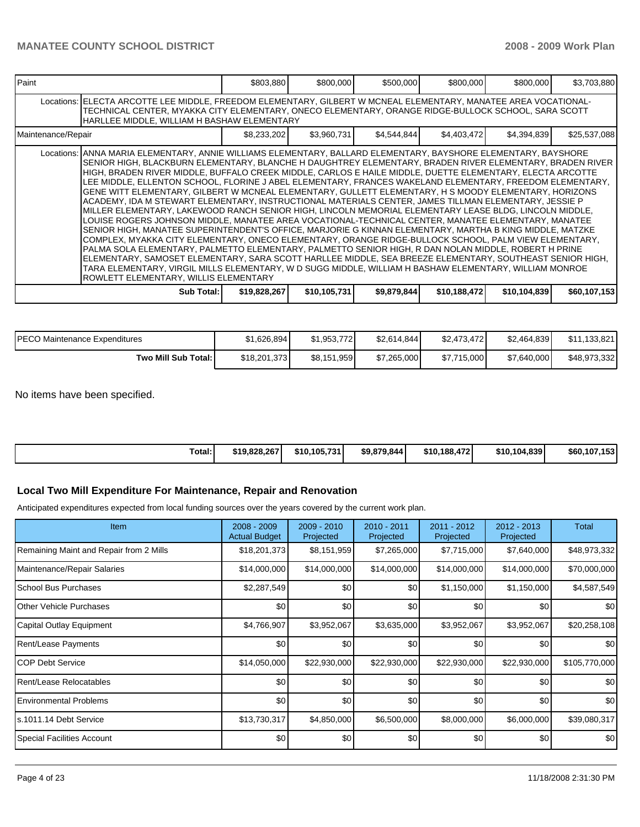| l Paint            |                                                                                                                                                                                                                                                                                                                                                                                                                                                                                                                                                                                                                                                                                                                                                                                                                                                                                                                                                                                                                                                                                                                                                                                                                                                                                                                                                                                                                                                                                    | \$803,880    | \$800,000    | \$500,000   | \$800,000    | \$800,000    | \$3,703,880  |
|--------------------|------------------------------------------------------------------------------------------------------------------------------------------------------------------------------------------------------------------------------------------------------------------------------------------------------------------------------------------------------------------------------------------------------------------------------------------------------------------------------------------------------------------------------------------------------------------------------------------------------------------------------------------------------------------------------------------------------------------------------------------------------------------------------------------------------------------------------------------------------------------------------------------------------------------------------------------------------------------------------------------------------------------------------------------------------------------------------------------------------------------------------------------------------------------------------------------------------------------------------------------------------------------------------------------------------------------------------------------------------------------------------------------------------------------------------------------------------------------------------------|--------------|--------------|-------------|--------------|--------------|--------------|
|                    | Locations:   ELECTA ARCOTTE LEE MIDDLE, FREEDOM ELEMENTARY, GILBERT W MCNEAL ELEMENTARY, MANATEE AREA VOCATIONAL-<br>TECHNICAL CENTER, MYAKKA CITY ELEMENTARY, ONECO ELEMENTARY, ORANGE RIDGE-BULLOCK SCHOOL, SARA SCOTT<br>HARLLEE MIDDLE, WILLIAM H BASHAW ELEMENTARY                                                                                                                                                                                                                                                                                                                                                                                                                                                                                                                                                                                                                                                                                                                                                                                                                                                                                                                                                                                                                                                                                                                                                                                                            |              |              |             |              |              |              |
| Maintenance/Repair |                                                                                                                                                                                                                                                                                                                                                                                                                                                                                                                                                                                                                                                                                                                                                                                                                                                                                                                                                                                                                                                                                                                                                                                                                                                                                                                                                                                                                                                                                    | \$8,233,202  | \$3,960,731  | \$4,544,844 | \$4,403,472  | \$4,394,839  | \$25,537,088 |
|                    | Locations: ANNA MARIA ELEMENTARY, ANNIE WILLIAMS ELEMENTARY, BALLARD ELEMENTARY, BAYSHORE ELEMENTARY, BAYSHORE<br>SENIOR HIGH, BLACKBURN ELEMENTARY, BLANCHE H DAUGHTREY ELEMENTARY, BRADEN RIVER ELEMENTARY, BRADEN RIVER<br>HIGH, BRADEN RIVER MIDDLE, BUFFALO CREEK MIDDLE, CARLOS E HAILE MIDDLE, DUETTE ELEMENTARY, ELECTA ARCOTTE<br>LEE MIDDLE, ELLENTON SCHOOL, FLORINE J ABEL ELEMENTARY, FRANCES WAKELAND ELEMENTARY, FREEDOM ELEMENTARY,<br>GENE WITT ELEMENTARY, GILBERT W MCNEAL ELEMENTARY, GULLETT ELEMENTARY, H S MOODY ELEMENTARY, HORIZONS<br>ACADEMY, IDA M STEWART ELEMENTARY, INSTRUCTIONAL MATERIALS CENTER, JAMES TILLMAN ELEMENTARY, JESSIE P<br>MILLER ELEMENTARY, LAKEWOOD RANCH SENIOR HIGH, LINCOLN MEMORIAL ELEMENTARY LEASE BLDG, LINCOLN MIDDLE,<br>LOUISE ROGERS JOHNSON MIDDLE, MANATEE AREA VOCATIONAL-TECHNICAL CENTER, MANATEE ELEMENTARY, MANATEE<br>SENIOR HIGH, MANATEE SUPERINTENDENT'S OFFICE, MARJORIE G KINNAN ELEMENTARY, MARTHA B KING MIDDLE, MATZKE<br>COMPLEX, MYAKKA CITY ELEMENTARY, ONECO ELEMENTARY, ORANGE RIDGE-BULLOCK SCHOOL, PALM VIEW ELEMENTARY,<br>PALMA SOLA ELEMENTARY, PALMETTO ELEMENTARY, PALMETTO SENIOR HIGH, R DAN NOLAN MIDDLE, ROBERT H PRINE<br>ELEMENTARY, SAMOSET ELEMENTARY, SARA SCOTT HARLLEE MIDDLE, SEA BREEZE ELEMENTARY, SOUTHEAST SENIOR HIGH,<br>TARA ELEMENTARY, VIRGIL MILLS ELEMENTARY, W D SUGG MIDDLE, WILLIAM H BASHAW ELEMENTARY, WILLIAM MONROE<br>ROWLETT ELEMENTARY, WILLIS ELEMENTARY |              |              |             |              |              |              |
|                    | Sub Total: I                                                                                                                                                                                                                                                                                                                                                                                                                                                                                                                                                                                                                                                                                                                                                                                                                                                                                                                                                                                                                                                                                                                                                                                                                                                                                                                                                                                                                                                                       | \$19,828,267 | \$10,105,731 | \$9,879,844 | \$10,188,472 | \$10,104,839 | \$60,107,153 |

| <b>IPECO Maintenance Expenditures</b> | \$1.626.894  | \$1,953,772] | \$2.614.844] | \$2,473,472 | \$2,464,839 | \$11.133.821 |
|---------------------------------------|--------------|--------------|--------------|-------------|-------------|--------------|
| Two Mill Sub Total:                   | \$18,201,373 | \$8,151,959  | \$7.265,000  | \$7,715,000 | \$7,640,000 | \$48,973,332 |

No items have been specified.

| \$10.105.731<br>Total:<br>\$10.104.839<br>\$10.188.472<br>\$19,828,267<br>\$9.879.844 |  |  |  |              |
|---------------------------------------------------------------------------------------|--|--|--|--------------|
|                                                                                       |  |  |  | \$60,107,153 |

## **Local Two Mill Expenditure For Maintenance, Repair and Renovation**

Anticipated expenditures expected from local funding sources over the years covered by the current work plan.

| Item                                    | $2008 - 2009$<br><b>Actual Budget</b> | $2009 - 2010$<br>Projected | 2010 - 2011<br>Projected | 2011 - 2012<br>Projected | 2012 - 2013<br>Projected | Total            |
|-----------------------------------------|---------------------------------------|----------------------------|--------------------------|--------------------------|--------------------------|------------------|
| Remaining Maint and Repair from 2 Mills | \$18,201,373                          | \$8,151,959                | \$7,265,000              | \$7,715,000              | \$7,640,000              | \$48,973,332     |
| Maintenance/Repair Salaries             | \$14,000,000                          | \$14,000,000               | \$14,000,000             | \$14,000,000             | \$14,000,000             | \$70,000,000     |
| School Bus Purchases                    | \$2,287,549                           | \$0                        | \$0                      | \$1,150,000              | \$1,150,000              | \$4,587,549      |
| <b>Other Vehicle Purchases</b>          | \$0                                   | \$0                        | \$0                      | \$0                      | \$0                      | \$0              |
| Capital Outlay Equipment                | \$4,766,907                           | \$3,952,067                | \$3,635,000              | \$3,952,067              | \$3,952,067              | \$20,258,108     |
| <b>Rent/Lease Payments</b>              | \$0                                   | \$0                        | \$0                      | \$0                      | \$0                      | \$0              |
| ICOP Debt Service                       | \$14,050,000                          | \$22,930,000               | \$22,930,000             | \$22,930,000             | \$22,930,000             | \$105,770,000    |
| Rent/Lease Relocatables                 | \$0                                   | \$0                        | \$0                      | \$0                      | \$0                      | \$0              |
| <b>Environmental Problems</b>           | \$0                                   | \$0                        | \$0                      | \$0                      | \$0                      | \$0 <sub>1</sub> |
| s.1011.14 Debt Service                  | \$13,730,317                          | \$4,850,000                | \$6,500,000              | \$8,000,000              | \$6,000,000              | \$39,080,317     |
| Special Facilities Account              | \$0                                   | \$0                        | \$0                      | \$0                      | \$0                      | \$0              |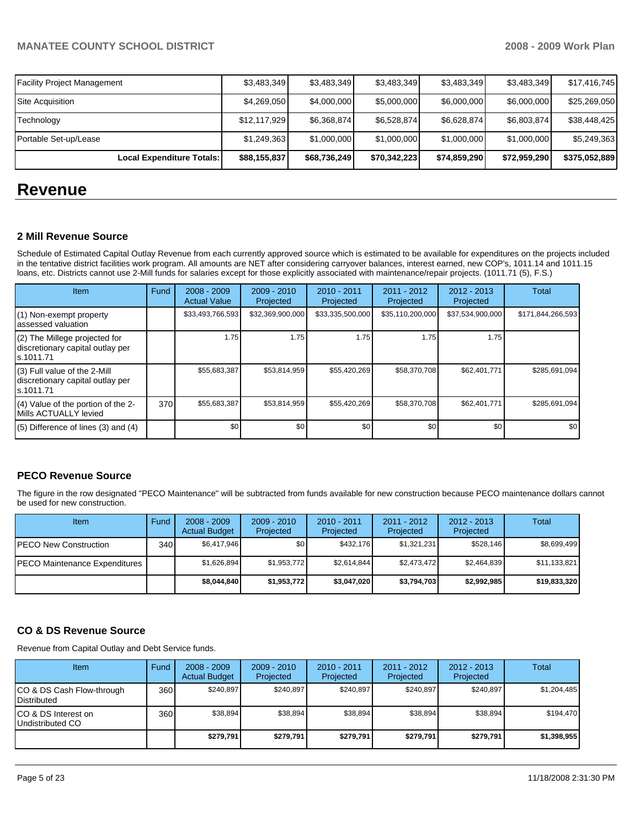| <b>Facility Project Management</b> | \$3,483,349  | \$3.483.349  | \$3,483,349  | \$3,483,349  | \$3,483,349  | \$17,416,745  |
|------------------------------------|--------------|--------------|--------------|--------------|--------------|---------------|
| Site Acauisition                   | \$4,269,050  | \$4,000,000  | \$5,000,000  | \$6,000,000  | \$6,000,000  | \$25,269,050  |
| Technology                         | \$12,117,929 | \$6.368.874  | \$6,528,874  | \$6,628,874  | \$6,803,874  | \$38,448,425  |
| Portable Set-up/Lease              | \$1,249,363  | \$1,000,000  | \$1,000,000  | \$1,000,000  | \$1,000,000  | \$5,249,363   |
| Local Expenditure Totals:          | \$88,155,837 | \$68,736,249 | \$70,342,223 | \$74,859,290 | \$72,959,290 | \$375,052,889 |

# **Revenue**

## **2 Mill Revenue Source**

Schedule of Estimated Capital Outlay Revenue from each currently approved source which is estimated to be available for expenditures on the projects included in the tentative district facilities work program. All amounts are NET after considering carryover balances, interest earned, new COP's, 1011.14 and 1011.15 loans, etc. Districts cannot use 2-Mill funds for salaries except for those explicitly associated with maintenance/repair projects. (1011.71 (5), F.S.)

| Item                                                                            | Fund | $2008 - 2009$<br><b>Actual Value</b> | $2009 - 2010$<br>Projected | $2010 - 2011$<br>Projected | 2011 - 2012<br>Projected | $2012 - 2013$<br>Projected | Total             |
|---------------------------------------------------------------------------------|------|--------------------------------------|----------------------------|----------------------------|--------------------------|----------------------------|-------------------|
| (1) Non-exempt property<br>assessed valuation                                   |      | \$33,493,766,593                     | \$32,369,900,000           | \$33,335,500,000           | \$35,110,200,000         | \$37,534,900,000           | \$171,844,266,593 |
| (2) The Millege projected for<br>discretionary capital outlay per<br>ls.1011.71 |      | 1.75                                 | 1.75                       | 1.75                       | 1.75                     | 1.75                       |                   |
| (3) Full value of the 2-Mill<br>discretionary capital outlay per<br>s.1011.71   |      | \$55,683,387                         | \$53,814,959               | \$55,420,269               | \$58,370,708             | \$62,401,771               | \$285,691,094     |
| (4) Value of the portion of the 2-<br>Mills ACTUALLY levied                     | 370  | \$55,683,387                         | \$53,814,959               | \$55,420,269               | \$58,370,708             | \$62,401,771               | \$285.691.094     |
| $(5)$ Difference of lines $(3)$ and $(4)$                                       |      | \$0                                  | \$0                        | \$0                        | \$0                      | \$0                        | \$0               |

## **PECO Revenue Source**

The figure in the row designated "PECO Maintenance" will be subtracted from funds available for new construction because PECO maintenance dollars cannot be used for new construction.

| Item                          | Fund | $2008 - 2009$<br><b>Actual Budget</b> | $2009 - 2010$<br>Projected | $2010 - 2011$<br>Projected | 2011 - 2012<br>Projected | $2012 - 2013$<br>Projected | Total        |
|-------------------------------|------|---------------------------------------|----------------------------|----------------------------|--------------------------|----------------------------|--------------|
| PECO New Construction         | 340  | \$6.417.946                           | \$0 <sub>1</sub>           | \$432.176                  | \$1,321,231              | \$528,146                  | \$8,699,499  |
| PECO Maintenance Expenditures |      | \$1,626,894                           | \$1,953,772                | \$2,614,844                | \$2,473,472              | \$2,464,839                | \$11,133,821 |
|                               |      | \$8,044,840                           | \$1,953,772                | \$3,047,020                | \$3,794,703              | \$2,992,985                | \$19,833,320 |

## **CO & DS Revenue Source**

Revenue from Capital Outlay and Debt Service funds.

| <b>Item</b>                                        | Fund | $2008 - 2009$<br><b>Actual Budget</b> | $2009 - 2010$<br>Projected | $2010 - 2011$<br>Projected | $2011 - 2012$<br>Projected | $2012 - 2013$<br>Projected | Total       |
|----------------------------------------------------|------|---------------------------------------|----------------------------|----------------------------|----------------------------|----------------------------|-------------|
| ICO & DS Cash Flow-through<br><b>I</b> Distributed | 360  | \$240.897                             | \$240.897                  | \$240.897                  | \$240.897                  | \$240.897                  | \$1,204,485 |
| ICO & DS Interest on<br>Undistributed CO           | 360  | \$38.894                              | \$38.894                   | \$38,894                   | \$38.894                   | \$38,894                   | \$194,470   |
|                                                    |      | \$279.791                             | \$279.791                  | \$279.791                  | \$279.791                  | \$279,791                  | \$1,398,955 |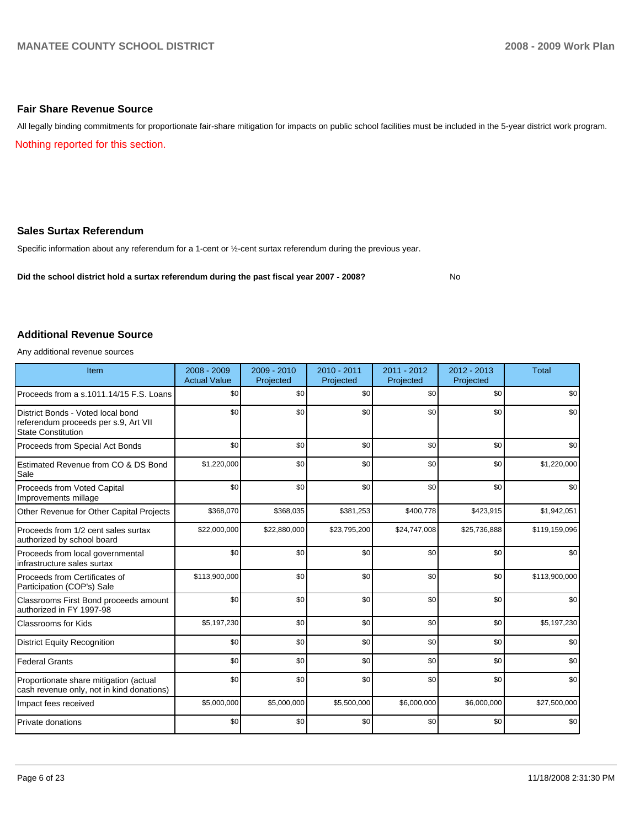#### **Fair Share Revenue Source**

All legally binding commitments for proportionate fair-share mitigation for impacts on public school facilities must be included in the 5-year district work program. Nothing reported for this section.

# **Sales Surtax Referendum**

Specific information about any referendum for a 1-cent or ½-cent surtax referendum during the previous year.

**Did the school district hold a surtax referendum during the past fiscal year 2007 - 2008?** No

#### **Additional Revenue Source**

Any additional revenue sources

| Item                                                                                                   | $2008 - 2009$<br><b>Actual Value</b> | 2009 - 2010<br>Projected | $2010 - 2011$<br>Projected | $2011 - 2012$<br>Projected | 2012 - 2013<br>Projected | <b>Total</b>  |
|--------------------------------------------------------------------------------------------------------|--------------------------------------|--------------------------|----------------------------|----------------------------|--------------------------|---------------|
| Proceeds from a s.1011.14/15 F.S. Loans                                                                | \$0                                  | \$0                      | \$0                        | \$0                        | \$0                      | \$0           |
| District Bonds - Voted local bond<br>referendum proceeds per s.9, Art VII<br><b>State Constitution</b> | \$0                                  | \$0                      | \$0                        | \$0                        | \$0                      | \$0           |
| Proceeds from Special Act Bonds                                                                        | \$0                                  | \$0                      | \$0                        | \$0                        | \$0                      | \$0           |
| Estimated Revenue from CO & DS Bond<br>Sale                                                            | \$1,220,000                          | \$0                      | \$0                        | \$0                        | \$0                      | \$1,220,000   |
| Proceeds from Voted Capital<br>Improvements millage                                                    | \$0                                  | \$0                      | \$0                        | \$0                        | \$0                      | \$0           |
| Other Revenue for Other Capital Projects                                                               | \$368,070                            | \$368,035                | \$381,253                  | \$400,778                  | \$423,915                | \$1,942,051   |
| Proceeds from 1/2 cent sales surtax<br>authorized by school board                                      | \$22,000,000                         | \$22,880,000             | \$23,795,200               | \$24,747,008               | \$25,736,888             | \$119,159,096 |
| Proceeds from local governmental<br>infrastructure sales surtax                                        | \$0                                  | \$0                      | \$0                        | \$0                        | \$0                      | \$0           |
| Proceeds from Certificates of<br>Participation (COP's) Sale                                            | \$113,900,000                        | \$0                      | \$0                        | \$0                        | \$0                      | \$113,900,000 |
| Classrooms First Bond proceeds amount<br>authorized in FY 1997-98                                      | \$0                                  | \$0                      | \$0                        | \$0                        | \$0                      | \$0           |
| <b>Classrooms for Kids</b>                                                                             | \$5,197,230                          | \$0                      | \$0                        | \$0                        | \$0                      | \$5,197,230   |
| <b>District Equity Recognition</b>                                                                     | \$0                                  | \$0                      | \$0                        | \$0                        | \$0                      | \$0           |
| <b>Federal Grants</b>                                                                                  | \$0                                  | \$0                      | \$0                        | \$0                        | \$0                      | \$0           |
| Proportionate share mitigation (actual<br>cash revenue only, not in kind donations)                    | \$0                                  | \$0                      | \$0                        | \$0                        | \$0                      | \$0           |
| Impact fees received                                                                                   | \$5,000,000                          | \$5,000,000              | \$5,500,000                | \$6,000,000                | \$6,000,000              | \$27,500,000  |
| Private donations                                                                                      | \$0                                  | \$0                      | \$0                        | \$0                        | \$0                      | \$0           |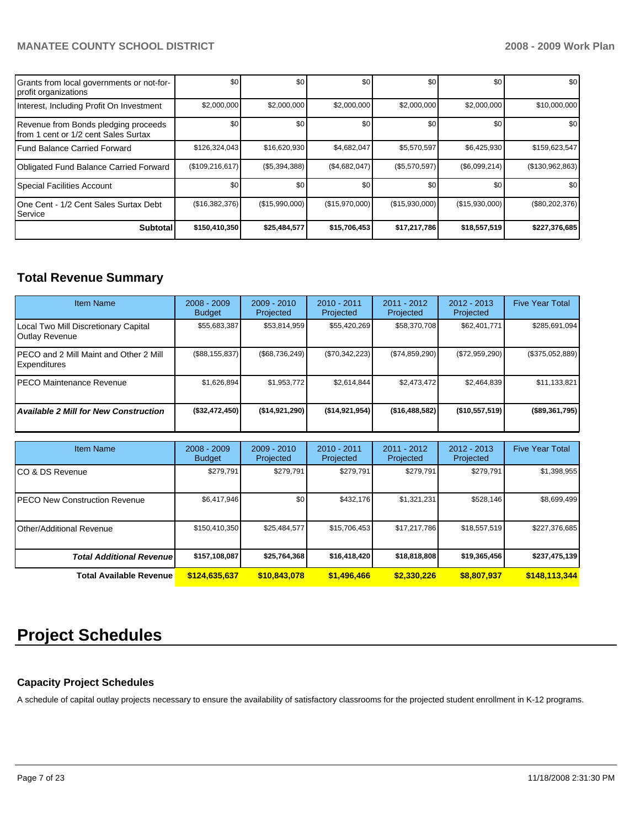| Grants from local governments or not-for-<br>profit organizations             | \$0               | \$0            | \$0            | \$0             | \$0 <sub>1</sub> | \$0             |
|-------------------------------------------------------------------------------|-------------------|----------------|----------------|-----------------|------------------|-----------------|
| Interest, Including Profit On Investment                                      | \$2,000,000       | \$2,000,000    | \$2,000,000    | \$2,000,000     | \$2,000,000      | \$10,000,000    |
| Revenue from Bonds pledging proceeds<br>Ifrom 1 cent or 1/2 cent Sales Surtax | \$0               | \$0            | \$0            | \$0             | \$0 <sub>1</sub> | \$0             |
| Fund Balance Carried Forward                                                  | \$126,324,043     | \$16,620,930   | \$4,682,047    | \$5,570,597     | \$6,425,930      | \$159,623,547   |
| Obligated Fund Balance Carried Forward                                        | (\$109, 216, 617) | (\$5,394,388)  | (\$4,682,047)  | $(\$5,570,597)$ | (\$6,099,214)    | (\$130,962,863) |
| Special Facilities Account                                                    | \$0               | \$0            | \$0            | \$0             | \$0 <sub>1</sub> | \$0             |
| IOne Cent - 1/2 Cent Sales Surtax Debt<br>l Service                           | (\$16,382,376)    | (\$15,990,000) | (\$15,970,000) | (\$15,930,000)  | (\$15,930,000)   | (\$80,202,376)  |
| <b>Subtotal</b>                                                               | \$150,410,350     | \$25,484,577   | \$15,706,453   | \$17,217,786    | \$18,557,519     | \$227,376,685   |

# **Total Revenue Summary**

| <b>Item Name</b>                                               | $2008 - 2009$<br><b>Budget</b> | $2009 - 2010$<br>Projected | $2010 - 2011$<br>Projected | $2011 - 2012$<br>Projected | $2012 - 2013$<br>Projected | <b>Five Year Total</b> |
|----------------------------------------------------------------|--------------------------------|----------------------------|----------------------------|----------------------------|----------------------------|------------------------|
| Local Two Mill Discretionary Capital<br>Outlay Revenue         | \$55,683,387                   | \$53,814,959               | \$55,420,269               | \$58,370,708               | \$62,401,771               | \$285,691,094          |
| IPECO and 2 Mill Maint and Other 2 Mill<br><b>Expenditures</b> | (\$88, 155, 837)               | (\$68,736,249)             | (\$70,342,223)             | (S74, 859, 290)            | (\$72,959,290)             | $(\$375,052,889)$      |
| IPECO Maintenance Revenue                                      | \$1,626,894                    | \$1,953,772                | \$2.614.844                | \$2,473,472                | \$2,464,839                | \$11,133,821           |
| <b>Available 2 Mill for New Construction</b>                   | (\$32,472,450)                 | (S14.921.290)              | (\$14,921,954)             | ( \$16,488,582)            | (\$10,557,519)             | (\$89,361,795)         |

| <b>Item Name</b>                      | $2008 - 2009$<br><b>Budget</b> | $2009 - 2010$<br>Projected | $2010 - 2011$<br>Projected | $2011 - 2012$<br>Projected | $2012 - 2013$<br>Projected | <b>Five Year Total</b> |
|---------------------------------------|--------------------------------|----------------------------|----------------------------|----------------------------|----------------------------|------------------------|
| ICO & DS Revenue                      | \$279.791                      | \$279,791                  | \$279.791                  | \$279,791                  | \$279,791                  | \$1,398,955            |
| <b>IPECO New Construction Revenue</b> | \$6,417,946                    | \$0                        | \$432.176                  | \$1,321,231                | \$528,146                  | \$8,699,499            |
| <b>IOther/Additional Revenue</b>      | \$150,410,350                  | \$25,484,577               | \$15,706,453               | \$17,217,786               | \$18,557,519               | \$227,376,685          |
| <b>Total Additional Revenuel</b>      | \$157,108,087                  | \$25,764,368               | \$16,418,420               | \$18,818,808               | \$19,365,456               | \$237,475,139          |
| <b>Total Available Revenue</b>        | \$124,635,637                  | \$10,843,078               | \$1,496,466                | \$2,330,226                | \$8,807,937                | \$148,113,344          |

# **Project Schedules**

## **Capacity Project Schedules**

A schedule of capital outlay projects necessary to ensure the availability of satisfactory classrooms for the projected student enrollment in K-12 programs.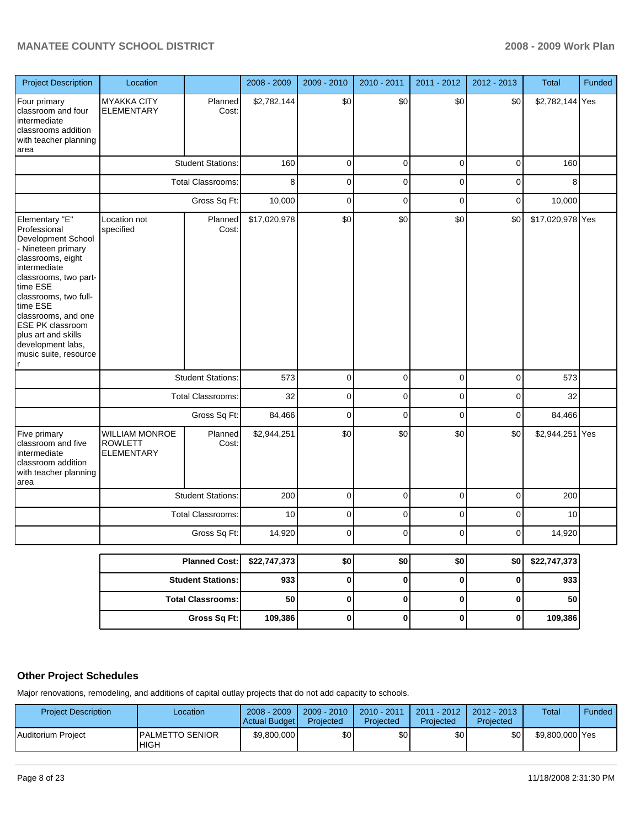| <b>Project Description</b>                                                                                                                                                                                                                                                                                       | Location                                                     |                          | 2008 - 2009  | 2009 - 2010 | 2010 - 2011 | 2011 - 2012 | 2012 - 2013 | <b>Total</b>     | Funded |
|------------------------------------------------------------------------------------------------------------------------------------------------------------------------------------------------------------------------------------------------------------------------------------------------------------------|--------------------------------------------------------------|--------------------------|--------------|-------------|-------------|-------------|-------------|------------------|--------|
| Four primary<br>classroom and four<br>Intermediate<br>classrooms addition<br>with teacher planning<br>area                                                                                                                                                                                                       | <b>MYAKKA CITY</b><br><b>ELEMENTARY</b>                      | Planned<br>Cost:         | \$2,782,144  | \$0         | \$0         | \$0         | \$0         | \$2,782,144 Yes  |        |
|                                                                                                                                                                                                                                                                                                                  |                                                              | <b>Student Stations:</b> | 160          | 0           | $\pmb{0}$   | $\pmb{0}$   | 0           | 160              |        |
|                                                                                                                                                                                                                                                                                                                  |                                                              | <b>Total Classrooms:</b> | 8            | 0           | $\mathbf 0$ | 0           | 0           | 8                |        |
|                                                                                                                                                                                                                                                                                                                  |                                                              | Gross Sq Ft:             | 10,000       | $\mathbf 0$ | $\mathbf 0$ | $\mathbf 0$ | $\mathbf 0$ | 10,000           |        |
| Elementary "E"<br>Professional<br>Development School<br>- Nineteen primary<br>classrooms, eight<br>intermediate<br>classrooms, two part-<br>time ESE<br>classrooms, two full-<br>time ESE<br>classrooms, and one<br><b>ESE PK classroom</b><br>plus art and skills<br>development labs,<br>music suite, resource | Location not<br>specified                                    | Planned<br>Cost:         | \$17,020,978 | \$0         | \$0         | \$0         | \$0         | \$17,020,978 Yes |        |
|                                                                                                                                                                                                                                                                                                                  |                                                              | <b>Student Stations:</b> | 573          | 0           | $\pmb{0}$   | 0           | 0           | 573              |        |
|                                                                                                                                                                                                                                                                                                                  |                                                              | Total Classrooms:        | 32           | 0           | 0           | 0           | 0           | 32               |        |
|                                                                                                                                                                                                                                                                                                                  |                                                              | Gross Sq Ft:             | 84,466       | 0           | $\mathbf 0$ | 0           | $\mathbf 0$ | 84,466           |        |
| Five primary<br>classroom and five<br>intermediate<br>classroom addition<br>with teacher planning<br>area                                                                                                                                                                                                        | <b>WILLIAM MONROE</b><br><b>ROWLETT</b><br><b>ELEMENTARY</b> | Planned<br>Cost:         | \$2,944,251  | \$0         | \$0         | \$0         | \$0         | \$2,944,251 Yes  |        |
|                                                                                                                                                                                                                                                                                                                  |                                                              | <b>Student Stations:</b> | 200          | $\mathbf 0$ | $\mathbf 0$ | $\mathbf 0$ | 0           | 200              |        |
|                                                                                                                                                                                                                                                                                                                  |                                                              | <b>Total Classrooms:</b> | 10           | 0           | 0           | $\mathbf 0$ | $\mathbf 0$ | 10               |        |
|                                                                                                                                                                                                                                                                                                                  |                                                              | Gross Sq Ft:             | 14,920       | 0           | 0           | $\mathbf 0$ | $\mathbf 0$ | 14,920           |        |
|                                                                                                                                                                                                                                                                                                                  |                                                              | <b>Planned Cost:</b>     | \$22,747,373 | \$0         | \$0         | \$0         | \$0         | \$22,747,373     |        |
|                                                                                                                                                                                                                                                                                                                  |                                                              | <b>Student Stations:</b> | 933          | $\bf{0}$    | $\pmb{0}$   | $\pmb{0}$   | 0           | 933              |        |
|                                                                                                                                                                                                                                                                                                                  |                                                              | <b>Total Classrooms:</b> | 50           | 0           | $\pmb{0}$   | $\pmb{0}$   | 0           | 50               |        |
|                                                                                                                                                                                                                                                                                                                  |                                                              | <b>Gross Sq Ft:</b>      | 109,386      | $\pmb{0}$   | $\pmb{0}$   | $\pmb{0}$   | $\pmb{0}$   | 109,386          |        |

# **Other Project Schedules**

Major renovations, remodeling, and additions of capital outlay projects that do not add capacity to schools.

| <b>Project Description</b> | Location                               | $2008 - 2009$<br>Actual Budget | $2009 - 2010$<br>Projected | 2010 - 2011<br>Projected | $2011 - 2012$<br>Projected | $2012 - 2013$<br>Projected | Total           | Funded |
|----------------------------|----------------------------------------|--------------------------------|----------------------------|--------------------------|----------------------------|----------------------------|-----------------|--------|
| I Auditorium Proiect       | <b>IPALMETTO SENIOR</b><br><b>HIGH</b> | \$9.800,000                    | \$0                        | \$0                      | \$0 <sub>1</sub>           | \$0 <sub>1</sub>           | \$9,800,000 Yes |        |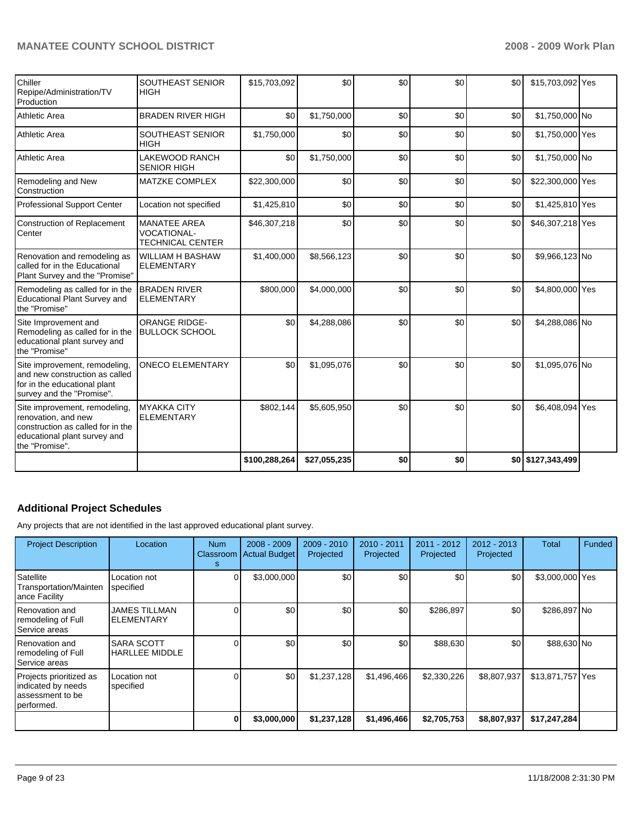| Chiller<br>Repipe/Administration/TV<br>Production                                                                                           | SOUTHEAST SENIOR<br><b>HIGH</b>                                      | \$15,703,092  | \$0          | \$0 | \$0 | \$0 | \$15,703,092 Yes  |  |
|---------------------------------------------------------------------------------------------------------------------------------------------|----------------------------------------------------------------------|---------------|--------------|-----|-----|-----|-------------------|--|
| Athletic Area                                                                                                                               | <b>BRADEN RIVER HIGH</b>                                             | \$0           | \$1,750,000  | \$0 | \$0 | \$0 | \$1,750,000 No    |  |
| Athletic Area                                                                                                                               | SOUTHEAST SENIOR<br><b>HIGH</b>                                      | \$1,750,000   | \$0          | \$0 | \$0 | \$0 | \$1,750,000 Yes   |  |
| Athletic Area                                                                                                                               | <b>LAKEWOOD RANCH</b><br><b>SENIOR HIGH</b>                          | \$0           | \$1,750,000  | \$0 | \$0 | \$0 | \$1,750,000 No    |  |
| Remodeling and New<br>Construction                                                                                                          | <b>MATZKE COMPLEX</b>                                                | \$22,300,000  | \$0          | \$0 | \$0 | \$0 | \$22,300,000 Yes  |  |
| Professional Support Center                                                                                                                 | Location not specified                                               | \$1,425,810   | \$0          | \$0 | \$0 | \$0 | \$1,425,810 Yes   |  |
| <b>Construction of Replacement</b><br>Center                                                                                                | <b>MANATEE AREA</b><br><b>VOCATIONAL-</b><br><b>TECHNICAL CENTER</b> | \$46,307,218  | \$0          | \$0 | \$0 | \$0 | \$46,307,218 Yes  |  |
| Renovation and remodeling as<br>called for in the Educational<br>Plant Survey and the "Promise"                                             | <b>WILLIAM H BASHAW</b><br><b>ELEMENTARY</b>                         | \$1,400,000   | \$8,566,123  | \$0 | \$0 | \$0 | \$9,966,123 No    |  |
| Remodeling as called for in the<br>Educational Plant Survey and<br>the "Promise"                                                            | <b>BRADEN RIVER</b><br><b>ELEMENTARY</b>                             | \$800,000     | \$4,000,000  | \$0 | \$0 | \$0 | \$4,800,000 Yes   |  |
| Site Improvement and<br>Remodeling as called for in the<br>educational plant survey and<br>the "Promise"                                    | <b>ORANGE RIDGE-</b><br><b>BULLOCK SCHOOL</b>                        | \$0           | \$4,288,086  | \$0 | \$0 | \$0 | \$4,288,086 No    |  |
| Site improvement, remodeling,<br>and new construction as called<br>for in the educational plant<br>survey and the "Promise".                | <b>ONECO ELEMENTARY</b>                                              | \$0           | \$1,095,076  | \$0 | \$0 | \$0 | \$1,095,076 No    |  |
| Site improvement, remodeling,<br>renovation, and new<br>construction as called for in the<br>educational plant survey and<br>the "Promise". | <b>MYAKKA CITY</b><br><b>ELEMENTARY</b>                              | \$802,144     | \$5,605,950  | \$0 | \$0 | \$0 | \$6,408,094 Yes   |  |
|                                                                                                                                             |                                                                      | \$100,288,264 | \$27,055,235 | \$0 | \$0 |     | \$0 \$127,343,499 |  |

# **Additional Project Schedules**

Any projects that are not identified in the last approved educational plant survey.

| <b>Project Description</b>                                                      | Location                                   | <b>Num</b><br>Classroom<br>s | $2008 - 2009$<br>Actual Budget | 2009 - 2010<br>Projected | $2010 - 2011$<br>Projected | 2011 - 2012<br>Projected | $2012 - 2013$<br>Projected | Total            | Funded |
|---------------------------------------------------------------------------------|--------------------------------------------|------------------------------|--------------------------------|--------------------------|----------------------------|--------------------------|----------------------------|------------------|--------|
| Satellite<br>Transportation/Mainten<br>ance Facility                            | Location not<br>specified                  |                              | \$3,000,000                    | \$0                      | \$0                        | \$0                      | \$0                        | \$3,000,000 Yes  |        |
| Renovation and<br>remodeling of Full<br>Service areas                           | <b>JAMES TILLMAN</b><br><b>ELEMENTARY</b>  |                              | \$0                            | \$0                      | \$0                        | \$286,897                | \$0                        | \$286,897 No     |        |
| Renovation and<br>remodeling of Full<br>Service areas                           | <b>SARA SCOTT</b><br><b>HARLLEE MIDDLE</b> |                              | \$0                            | \$0                      | \$0                        | \$88,630                 | \$0                        | \$88,630 No      |        |
| Projects prioritized as<br>indicated by needs<br>assessment to be<br>performed. | Location not<br>specified                  |                              | \$0                            | \$1,237,128              | \$1,496,466                | \$2,330,226              | \$8,807,937                | \$13,871,757 Yes |        |
|                                                                                 |                                            | 0                            | \$3,000,000                    | \$1,237,128              | \$1,496,466                | \$2,705,753              | \$8,807,937                | \$17,247,284     |        |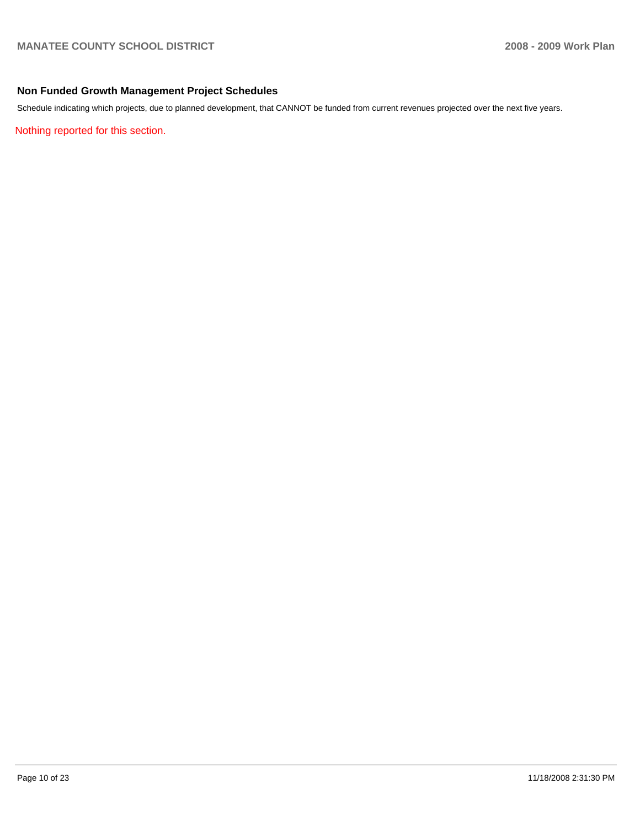#### **Non Funded Growth Management Project Schedules**

Schedule indicating which projects, due to planned development, that CANNOT be funded from current revenues projected over the next five years.

Nothing reported for this section.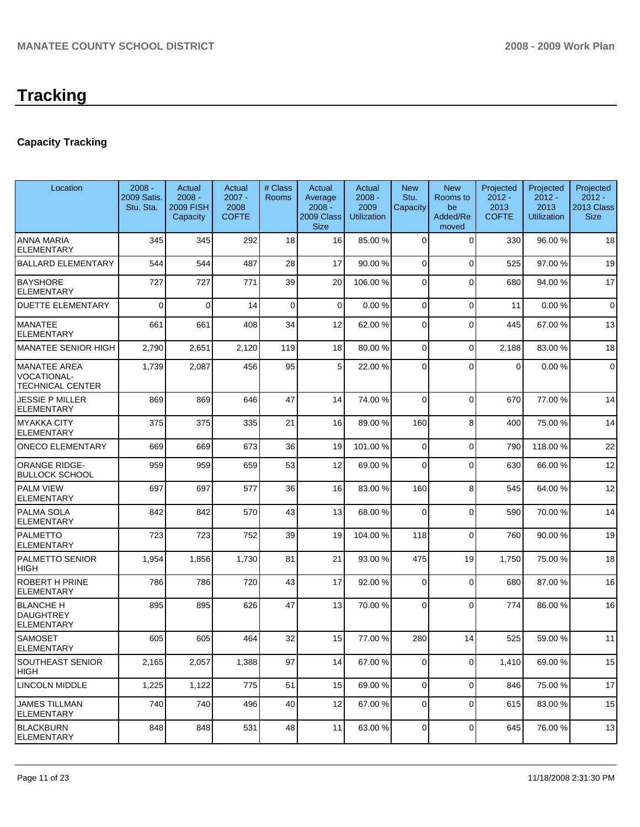# **Capacity Tracking**

| Location                                                      | $2008 -$<br>2009 Satis.<br>Stu. Sta. | Actual<br>$2008 -$<br><b>2009 FISH</b><br>Capacity | Actual<br>$2007 -$<br>2008<br><b>COFTE</b> | # Class<br>Rooms | Actual<br>Average<br>$2008 -$<br>2009 Class<br><b>Size</b> | Actual<br>$2008 -$<br>2009<br><b>Utilization</b> | <b>New</b><br>Stu.<br>Capacity | <b>New</b><br>Rooms to<br>be<br>Added/Re<br>moved | Projected<br>$2012 -$<br>2013<br><b>COFTE</b> | Projected<br>$2012 -$<br>2013<br><b>Utilization</b> | Projected<br>$2012 -$<br>2013 Class<br><b>Size</b> |
|---------------------------------------------------------------|--------------------------------------|----------------------------------------------------|--------------------------------------------|------------------|------------------------------------------------------------|--------------------------------------------------|--------------------------------|---------------------------------------------------|-----------------------------------------------|-----------------------------------------------------|----------------------------------------------------|
| ANNA MARIA<br><b>ELEMENTARY</b>                               | 345                                  | 345                                                | 292                                        | 18               | 16                                                         | 85.00 %                                          | $\mathbf 0$                    | $\mathbf 0$                                       | 330                                           | 96.00 %                                             | 18                                                 |
| <b>BALLARD ELEMENTARY</b>                                     | 544                                  | 544                                                | 487                                        | 28               | 17                                                         | 90.00 %                                          | $\Omega$                       | $\mathbf 0$                                       | 525                                           | 97.00 %                                             | 19                                                 |
| <b>BAYSHORE</b><br><b>ELEMENTARY</b>                          | 727                                  | 727                                                | 771                                        | 39               | 20                                                         | 106.00 %                                         | $\mathbf 0$                    | $\Omega$                                          | 680                                           | 94.00 %                                             | 17                                                 |
| <b>DUETTE ELEMENTARY</b>                                      | $\Omega$                             | $\Omega$                                           | 14                                         | 0                | $\mathbf 0$                                                | 0.00%                                            | $\mathbf 0$                    | $\Omega$                                          | 11                                            | 0.00%                                               | $\mathbf 0$                                        |
| <b>MANATEE</b><br><b>ELEMENTARY</b>                           | 661                                  | 661                                                | 408                                        | 34               | 12                                                         | 62.00 %                                          | $\mathbf 0$                    | $\mathbf 0$                                       | 445                                           | 67.00 %                                             | 13                                                 |
| MANATEE SENIOR HIGH                                           | 2,790                                | 2,651                                              | 2,120                                      | 119              | 18                                                         | 80.00 %                                          | $\Omega$                       | $\mathbf 0$                                       | 2,188                                         | 83.00 %                                             | 18                                                 |
| <b>MANATEE AREA</b><br>VOCATIONAL-<br><b>TECHNICAL CENTER</b> | 1,739                                | 2,087                                              | 456                                        | 95               | 5                                                          | 22.00 %                                          | $\Omega$                       | $\Omega$                                          | $\overline{0}$                                | 0.00%                                               | $\mathbf 0$                                        |
| JESSIE P MILLER<br>ELEMENTARY                                 | 869                                  | 869                                                | 646                                        | 47               | 14                                                         | 74.00 %                                          | $\Omega$                       | $\Omega$                                          | 670                                           | 77.00 %                                             | 14                                                 |
| <b>MYAKKA CITY</b><br>ELEMENTARY                              | 375                                  | 375                                                | 335                                        | 21               | 16                                                         | 89.00 %                                          | 160                            | 8                                                 | 400                                           | 75.00 %                                             | 14                                                 |
| <b>ONECO ELEMENTARY</b>                                       | 669                                  | 669                                                | 673                                        | 36               | 19                                                         | 101.00 %                                         | $\mathbf 0$                    | $\mathbf 0$                                       | 790                                           | 118.00 %                                            | 22                                                 |
| <b>ORANGE RIDGE-</b><br><b>BULLOCK SCHOOL</b>                 | 959                                  | 959                                                | 659                                        | 53               | 12                                                         | 69.00 %                                          | $\Omega$                       | $\Omega$                                          | 630                                           | 66.00 %                                             | 12                                                 |
| <b>PALM VIEW</b><br>ELEMENTARY                                | 697                                  | 697                                                | 577                                        | 36               | 16                                                         | 83.00 %                                          | 160                            | 8                                                 | 545                                           | 64.00 %                                             | 12                                                 |
| PALMA SOLA<br><b>ELEMENTARY</b>                               | 842                                  | 842                                                | 570                                        | 43               | 13                                                         | 68.00 %                                          | $\Omega$                       | $\Omega$                                          | 590                                           | 70.00 %                                             | 14                                                 |
| <b>PALMETTO</b><br><b>ELEMENTARY</b>                          | 723                                  | 723                                                | 752                                        | 39               | 19                                                         | 104.00 %                                         | 118                            | 0                                                 | 760                                           | 90.00 %                                             | 19                                                 |
| PALMETTO SENIOR<br>HIGH                                       | 1,954                                | 1,856                                              | 1,730                                      | 81               | 21                                                         | 93.00 %                                          | 475                            | 19                                                | 1,750                                         | 75.00 %                                             | 18                                                 |
| <b>ROBERT H PRINE</b><br><b>ELEMENTARY</b>                    | 786                                  | 786                                                | 720                                        | 43               | 17                                                         | 92.00 %                                          | $\Omega$                       | $\mathbf 0$                                       | 680                                           | 87.00 %                                             | 16                                                 |
| <b>BLANCHE H</b><br><b>DAUGHTREY</b><br>ELEMENTARY            | 895                                  | 895                                                | 626                                        | 47               | 13                                                         | 70.00 %                                          | 0                              | $\Omega$                                          | 774                                           | 86.00 %                                             | 16                                                 |
| <b>SAMOSET</b><br>ELEMENIARY                                  | 605                                  | 605                                                | 464                                        | 32               | 15                                                         | 77.00 %                                          | 280                            | 14                                                | 525                                           | 59.00 %                                             | 11                                                 |
| SOUTHEAST SENIOR<br>HIGH                                      | 2,165                                | 2,057                                              | 1,388                                      | 97               | 14                                                         | 67.00 %                                          | 0                              | 0                                                 | 1,410                                         | 69.00 %                                             | 15                                                 |
| <b>LINCOLN MIDDLE</b>                                         | 1,225                                | 1,122                                              | 775                                        | 51               | 15                                                         | 69.00 %                                          | $\overline{0}$                 | 0                                                 | 846                                           | 75.00 %                                             | 17                                                 |
| <b>JAMES TILLMAN</b><br><b>ELEMENTARY</b>                     | 740                                  | 740                                                | 496                                        | 40               | 12                                                         | 67.00 %                                          | $\overline{0}$                 | $\mathbf 0$                                       | 615                                           | 83.00 %                                             | 15                                                 |
| <b>BLACKBURN</b><br><b>ELEMENTARY</b>                         | 848                                  | 848                                                | 531                                        | 48               | 11                                                         | 63.00 %                                          | $\overline{0}$                 | 0                                                 | 645                                           | 76.00 %                                             | 13                                                 |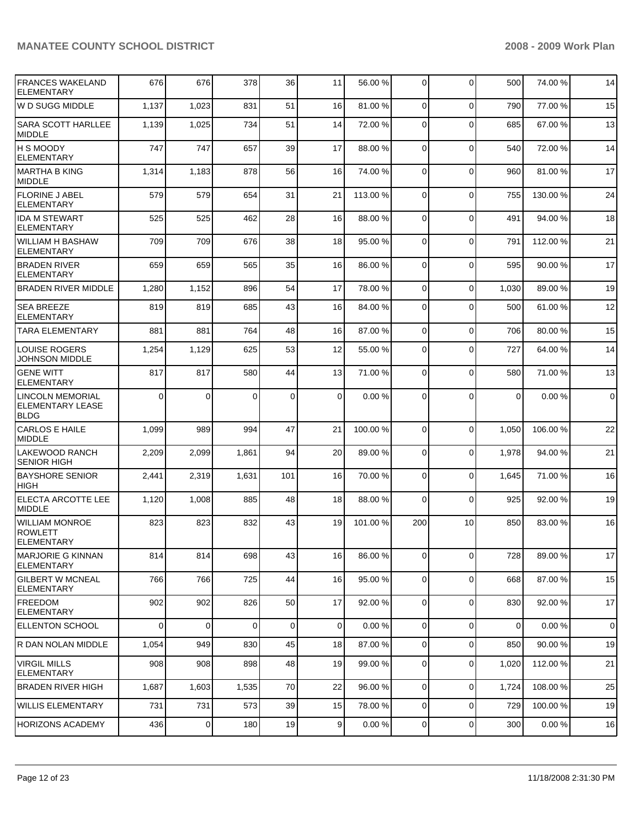| <b>FRANCES WAKELAND</b><br><b>ELEMENTARY</b>               | 676      | 676            | 378      | 36  | 11             | 56.00 %   | $\mathbf 0$    | $\mathbf 0$ | 500      | 74.00 %  | 14          |
|------------------------------------------------------------|----------|----------------|----------|-----|----------------|-----------|----------------|-------------|----------|----------|-------------|
| W D SUGG MIDDLE                                            | 1,137    | 1,023          | 831      | 51  | 16             | 81.00 %   | 0              | $\Omega$    | 790      | 77.00 %  | 15          |
| <b>SARA SCOTT HARLLEE</b><br><b>MIDDLE</b>                 | 1,139    | 1,025          | 734      | 51  | 14             | 72.00 %   | $\Omega$       | $\Omega$    | 685      | 67.00 %  | 13          |
| IH S MOODY<br>ELEMENTARY                                   | 747      | 747            | 657      | 39  | 17             | 88.00 %   | $\mathbf 0$    | $\Omega$    | 540      | 72.00 %  | 14          |
| MARTHA B KING<br>MIDDLE                                    | 1,314    | 1,183          | 878      | 56  | 16             | 74.00 %   | $\mathbf 0$    | $\Omega$    | 960      | 81.00 %  | 17          |
| <b>FLORINE J ABEL</b><br><b>ELEMENTARY</b>                 | 579      | 579            | 654      | 31  | 21             | 113.00 %  | 0              | $\Omega$    | 755      | 130.00%  | 24          |
| <b>IDA M STEWART</b><br><b>ELEMENTARY</b>                  | 525      | 525            | 462      | 28  | 16             | 88.00 %   | $\Omega$       | $\Omega$    | 491      | 94.00 %  | 18          |
| WILLIAM H BASHAW<br><b>ELEMENTARY</b>                      | 709      | 709            | 676      | 38  | 18             | 95.00 %   | $\mathbf 0$    | $\Omega$    | 791      | 112.00 % | 21          |
| <b>BRADEN RIVER</b><br><b>ELEMENTARY</b>                   | 659      | 659            | 565      | 35  | 16             | 86.00 %   | $\mathbf 0$    | $\Omega$    | 595      | 90.00 %  | 17          |
| <b>BRADEN RIVER MIDDLE</b>                                 | 1,280    | 1,152          | 896      | 54  | 17             | 78.00 %   | 0              | $\Omega$    | 1,030    | 89.00 %  | 19          |
| <b>SEA BREEZE</b><br><b>ELEMENTARY</b>                     | 819      | 819            | 685      | 43  | 16             | 84.00 %   | 0              | $\Omega$    | 500      | 61.00 %  | 12          |
| <b>TARA ELEMENTARY</b>                                     | 881      | 881            | 764      | 48  | 16             | 87.00 %   | $\overline{0}$ | $\Omega$    | 706      | 80.00 %  | 15          |
| <b>LOUISE ROGERS</b><br><b>JOHNSON MIDDLE</b>              | 1,254    | 1,129          | 625      | 53  | 12             | 55.00 %   | 0              | $\Omega$    | 727      | 64.00 %  | 14          |
| <b>GENE WITT</b><br><b>ELEMENTARY</b>                      | 817      | 817            | 580      | 44  | 13             | 71.00 %   | 0              | $\Omega$    | 580      | 71.00 %  | 13          |
| LINCOLN MEMORIAL<br><b>ELEMENTARY LEASE</b><br><b>BLDG</b> | $\Omega$ | $\Omega$       | 0        | 0   | 0              | 0.00%     | 0              | $\Omega$    | $\Omega$ | 0.00%    | $\mathbf 0$ |
| <b>CARLOS E HAILE</b><br><b>MIDDLE</b>                     | 1,099    | 989            | 994      | 47  | 21             | 100.00 %  | $\overline{0}$ | $\Omega$    | 1,050    | 106.00 % | 22          |
| LAKEWOOD RANCH<br><b>SENIOR HIGH</b>                       | 2,209    | 2,099          | 1,861    | 94  | 20             | 89.00 %   | 0              | $\Omega$    | 1,978    | 94.00 %  | 21          |
| <b>BAYSHORE SENIOR</b><br>HIGH                             | 2,441    | 2,319          | 1,631    | 101 | 16             | 70.00 %   | 0              | $\Omega$    | 1,645    | 71.00 %  | 16          |
| <b>ELECTA ARCOTTE LEE</b><br><b>MIDDLE</b>                 | 1,120    | 1,008          | 885      | 48  | 18             | 88.00 %   | 0              | $\Omega$    | 925      | 92.00 %  | 19          |
| <b>WILLIAM MONROE</b><br><b>ROWLETT</b><br>ELEMENTARY      | 823      | 823            | 832      | 43  | 19             | 101.00 %  | 200            | 10          | 850      | 83.00 %  | 16          |
| MARJORIE G KINNAN<br>ELEMENTARY                            | 814      | 814            | 698      | 43  | 16             | 86.00 %   | 0              | $\mathbf 0$ | 728      | 89.00 %  | 17          |
| <b>GILBERT W MCNEAL</b><br>ELEMENTARY                      | 766      | 766            | 725      | 44  | 16             | 95.00 %   | $\overline{0}$ | $\mathbf 0$ | 668      | 87.00 %  | 15          |
| FREEDOM<br>ELEMENTARY                                      | 902      | 902            | 826      | 50  | 17             | 92.00 %   | 0              | $\mathbf 0$ | 830      | 92.00 %  | 17          |
| <b>ELLENTON SCHOOL</b>                                     | $\Omega$ | $\mathbf 0$    | $\Omega$ | 0   | $\mathbf 0$    | 0.00%     | 0              | $\mathbf 0$ | 0        | 0.00%    | $\mathbf 0$ |
| R DAN NOLAN MIDDLE                                         | 1,054    | 949            | 830      | 45  | 18             | 87.00 %   | $\overline{0}$ | $\Omega$    | 850      | 90.00 %  | 19          |
| <b>VIRGIL MILLS</b><br><b>ELEMENTARY</b>                   | 908      | 908            | 898      | 48  | 19             | 99.00 %   | 0              | $\Omega$    | 1,020    | 112.00 % | 21          |
| <b>BRADEN RIVER HIGH</b>                                   | 1,687    | 1,603          | 1,535    | 70  | 22             | 96.00 %   | $\overline{0}$ | $\mathbf 0$ | 1,724    | 108.00 % | 25          |
| WILLIS ELEMENTARY                                          | 731      | 731            | 573      | 39  | 15             | 78.00 %   | $\overline{0}$ | $\mathbf 0$ | 729      | 100.00 % | 19          |
| <b>HORIZONS ACADEMY</b>                                    | 436      | $\overline{0}$ | 180      | 19  | $\overline{9}$ | $0.00 \%$ | 0              | $\pmb{0}$   | 300      | 0.00%    | 16          |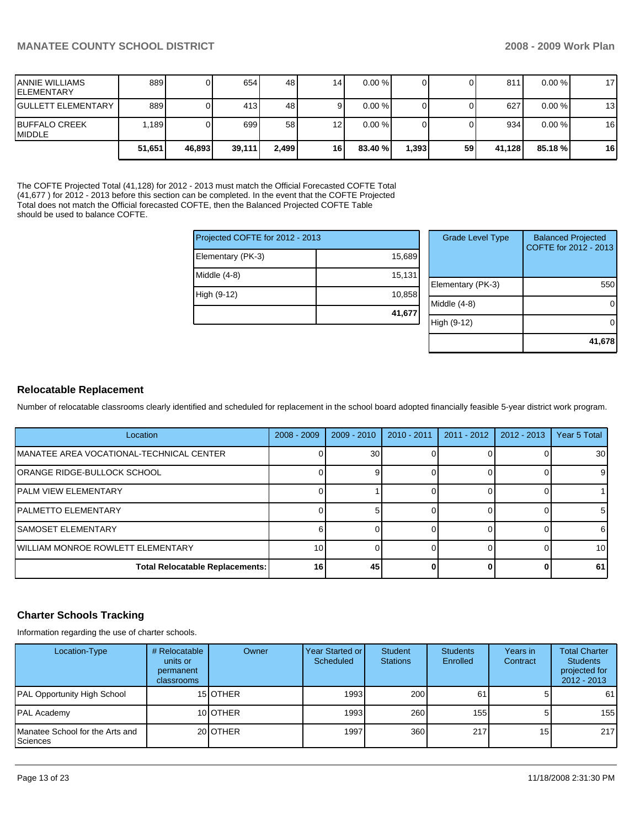| <b>JANNIE WILLIAMS</b><br><b>IELEMENTARY</b> | 889    |        | 654    | 48    | 14              | $0.00 \%$ |       |    | 811    | $0.00 \%$ | 17 <sup>1</sup> |
|----------------------------------------------|--------|--------|--------|-------|-----------------|-----------|-------|----|--------|-----------|-----------------|
| <b>IGULLETT ELEMENTARY</b>                   | 889    |        | 413    | 48    |                 | $0.00 \%$ |       |    | 627    | 0.00%     | 13              |
| <b>IBUFFALO CREEK</b><br><b>IMIDDLE</b>      | .189   |        | 699    | 58    | 12 <sub>l</sub> | 0.00%     |       |    | 934    | 0.00%     | 16              |
|                                              | 51,651 | 46,893 | 39,111 | 2.499 | 16              | 83.40 %   | 1,393 | 59 | 41.128 | 85.18 %   | 16 <sup>1</sup> |

The COFTE Projected Total (41,128) for 2012 - 2013 must match the Official Forecasted COFTE Total (41,677 ) for 2012 - 2013 before this section can be completed. In the event that the COFTE Projected Total does not match the Official forecasted COFTE, then the Balanced Projected COFTE Table should be used to balance COFTE.

| Projected COFTE for 2012 - 2013 |        |
|---------------------------------|--------|
| Elementary (PK-3)               | 15,689 |
| Middle (4-8)                    | 15,131 |
| High (9-12)                     | 10,858 |
|                                 | 41,677 |

| <b>Grade Level Type</b> | <b>Balanced Projected</b><br>COFTE for 2012 - 2013 |
|-------------------------|----------------------------------------------------|
| Elementary (PK-3)       | 550                                                |
| Middle (4-8)            |                                                    |
| High (9-12)             |                                                    |
|                         | 41,678                                             |

## **Relocatable Replacement**

Number of relocatable classrooms clearly identified and scheduled for replacement in the school board adopted financially feasible 5-year district work program.

| Location                                  | $2008 - 2009$   | $2009 - 2010$ | $2010 - 2011$ | $2011 - 2012$ | $2012 - 2013$ | Year 5 Total    |
|-------------------------------------------|-----------------|---------------|---------------|---------------|---------------|-----------------|
| IMANATEE AREA VOCATIONAL-TECHNICAL CENTER |                 | 30            |               |               |               | 30 <sup>1</sup> |
| ORANGE RIDGE-BULLOCK SCHOOL               |                 |               |               |               |               | 9               |
| <b>IPALM VIEW ELEMENTARY</b>              |                 |               |               |               |               |                 |
| IPALMETTO ELEMENTARY                      |                 |               |               |               |               | 51              |
| <b>ISAMOSET ELEMENTARY</b>                | ี               |               |               |               |               | 61              |
| <b>IWILLIAM MONROE ROWLETT ELEMENTARY</b> | 10 <sup>1</sup> |               |               |               |               | 10 <sub>l</sub> |
| <b>Total Relocatable Replacements:</b>    | 16 <sup>1</sup> | 45            |               |               |               | 61              |

#### **Charter Schools Tracking**

Information regarding the use of charter schools.

| Location-Type                               | # Relocatable<br>units or<br>permanent<br><b>classrooms</b> | Owner            | <b>Year Started or</b><br>Scheduled | <b>Student</b><br><b>Stations</b> | <b>Students</b><br>Enrolled | Years in<br>Contract | <b>Total Charter</b><br><b>Students</b><br>projected for<br>$2012 - 2013$ |
|---------------------------------------------|-------------------------------------------------------------|------------------|-------------------------------------|-----------------------------------|-----------------------------|----------------------|---------------------------------------------------------------------------|
| PAL Opportunity High School                 |                                                             | 15 <b>OTHER</b>  | 1993                                | 200                               | 61                          |                      | 61                                                                        |
| PAL Academy                                 |                                                             | 10 <b>IOTHER</b> | 1993                                | 260                               | 155                         | 5.                   | 155                                                                       |
| Manatee School for the Arts and<br>Sciences |                                                             | 20 <b>OTHER</b>  | 1997                                | 360                               | 217                         | 15 <sup>1</sup>      | 217                                                                       |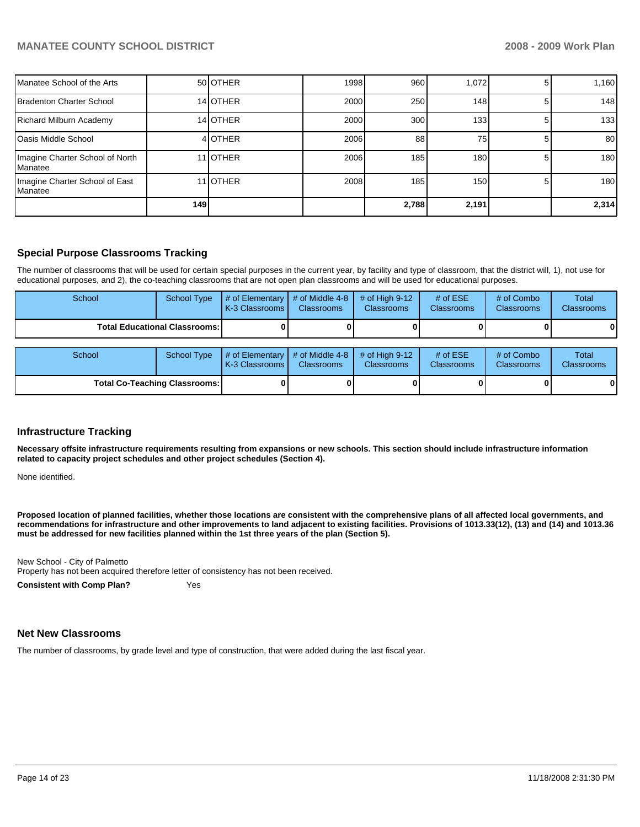| Manatee School of the Arts                          |     | 50 <b>OTHER</b>  | 1998 | 960   | 1.072 | 1,160            |
|-----------------------------------------------------|-----|------------------|------|-------|-------|------------------|
| Bradenton Charter School                            |     | 14 OTHER         | 2000 | 250   | 148   | 148              |
| Richard Milburn Academy                             |     | 14 OTHER         | 2000 | 300   | 133   | 133              |
| <b>I</b> Oasis Middle School                        |     | 4 OTHER          | 2006 | 88    | 75    | 80               |
| Imagine Charter School of North<br><b>I</b> Manatee |     | 11 <b>JOTHER</b> | 2006 | 185   | 180   | 180 <sup>1</sup> |
| Imagine Charter School of East<br>Manatee           |     | 11 OTHER         | 2008 | 185   | 150   | 180 <sup>1</sup> |
|                                                     | 149 |                  |      | 2.788 | 2,191 | 2,314            |

# **Special Purpose Classrooms Tracking**

The number of classrooms that will be used for certain special purposes in the current year, by facility and type of classroom, that the district will, 1), not use for educational purposes, and 2), the co-teaching classrooms that are not open plan classrooms and will be used for educational purposes.

| School | <b>School Type</b>                   | # of Elementary<br>K-3 Classrooms I | # of Middle 4-8<br><b>Classrooms</b> | # of High $9-12$<br><b>Classrooms</b> | # of $ESE$<br>Classrooms | # of Combo<br><b>Classrooms</b> | Total<br><b>Classrooms</b> |
|--------|--------------------------------------|-------------------------------------|--------------------------------------|---------------------------------------|--------------------------|---------------------------------|----------------------------|
|        | <b>Total Educational Classrooms:</b> |                                     |                                      |                                       |                          |                                 | 01                         |
| School | School Type                          | # of Elementary<br>K-3 Classrooms I | # of Middle 4-8<br><b>Classrooms</b> | $#$ of High 9-12<br><b>Classrooms</b> | # of $ESE$<br>Classrooms | # of Combo<br><b>Classrooms</b> | Total<br><b>Classrooms</b> |
|        | <b>Total Co-Teaching Classrooms:</b> |                                     |                                      |                                       |                          |                                 | 01                         |

#### **Infrastructure Tracking**

**Necessary offsite infrastructure requirements resulting from expansions or new schools. This section should include infrastructure information related to capacity project schedules and other project schedules (Section 4).** 

None identified.

**Proposed location of planned facilities, whether those locations are consistent with the comprehensive plans of all affected local governments, and recommendations for infrastructure and other improvements to land adjacent to existing facilities. Provisions of 1013.33(12), (13) and (14) and 1013.36 must be addressed for new facilities planned within the 1st three years of the plan (Section 5).** 

New School - City of Palmetto��

Property has not been acquired therefore letter of consistency has not been received.

**Consistent with Comp Plan?** Yes

#### **Net New Classrooms**

The number of classrooms, by grade level and type of construction, that were added during the last fiscal year.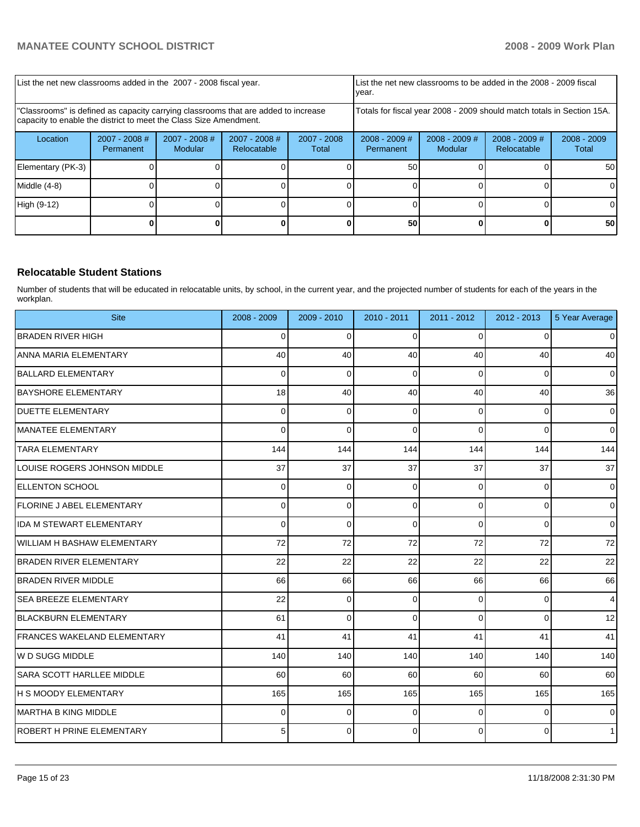| List the net new classrooms added in the 2007 - 2008 fiscal year.                                                                                       |                              |                                   |                                                                        |                        | year.                               |                            | List the net new classrooms to be added in the 2008 - 2009 fiscal |                        |
|---------------------------------------------------------------------------------------------------------------------------------------------------------|------------------------------|-----------------------------------|------------------------------------------------------------------------|------------------------|-------------------------------------|----------------------------|-------------------------------------------------------------------|------------------------|
| "Classrooms" is defined as capacity carrying classrooms that are added to increase<br>capacity to enable the district to meet the Class Size Amendment. |                              |                                   | Totals for fiscal year 2008 - 2009 should match totals in Section 15A. |                        |                                     |                            |                                                                   |                        |
| Location                                                                                                                                                | $2007 - 2008$ #<br>Permanent | $2007 - 2008$ #<br><b>Modular</b> | $2007 - 2008$ #<br>Relocatable                                         | $2007 - 2008$<br>Total | $2008 - 2009$ #<br><b>Permanent</b> | $2008 - 2009$ #<br>Modular | $2008 - 2009$ #<br>Relocatable                                    | $2008 - 2009$<br>Total |
| Elementary (PK-3)                                                                                                                                       |                              |                                   |                                                                        |                        | 50                                  |                            |                                                                   | 50                     |
| Middle (4-8)                                                                                                                                            |                              |                                   |                                                                        |                        |                                     |                            |                                                                   |                        |
| High (9-12)                                                                                                                                             |                              |                                   |                                                                        |                        |                                     |                            |                                                                   |                        |
|                                                                                                                                                         |                              |                                   |                                                                        |                        | 50                                  |                            |                                                                   | 50                     |

## **Relocatable Student Stations**

Number of students that will be educated in relocatable units, by school, in the current year, and the projected number of students for each of the years in the workplan.

| <b>Site</b>                        | 2008 - 2009 | 2009 - 2010    | 2010 - 2011 | 2011 - 2012 | 2012 - 2013    | 5 Year Average      |
|------------------------------------|-------------|----------------|-------------|-------------|----------------|---------------------|
| <b>BRADEN RIVER HIGH</b>           | $\Omega$    | $\Omega$       | $\Omega$    | $\Omega$    | $\Omega$       | $\overline{0}$      |
| <b>ANNA MARIA ELEMENTARY</b>       | 40          | 40             | 40          | 40          | 40             | 40                  |
| <b>BALLARD ELEMENTARY</b>          | 0           | $\mathbf 0$    | $\Omega$    | $\Omega$    | 0              | $\overline{0}$      |
| <b>BAYSHORE ELEMENTARY</b>         | 18          | 40             | 40          | 40          | 40             | 36                  |
| <b>DUETTE ELEMENTARY</b>           | $\Omega$    | $\mathbf 0$    | $\Omega$    | $\Omega$    | $\overline{0}$ | $\mathbf 0$         |
| MANATEE ELEMENTARY                 | $\Omega$    | $\mathbf 0$    | $\Omega$    | $\Omega$    | $\Omega$       | $\overline{0}$      |
| <b>TARA ELEMENTARY</b>             | 144         | 144            | 144         | 144         | 144            | 144                 |
| LOUISE ROGERS JOHNSON MIDDLE       | 37          | 37             | 37          | 37          | 37             | 37                  |
| <b>ELLENTON SCHOOL</b>             | 0           | $\mathbf 0$    | $\Omega$    | $\Omega$    | $\overline{0}$ | $\overline{0}$      |
| <b>FLORINE J ABEL ELEMENTARY</b>   | 0           | $\pmb{0}$      | $\mathbf 0$ | $\mathbf 0$ | $\overline{0}$ | $\mathsf{O}\xspace$ |
| <b>IDA M STEWART ELEMENTARY</b>    | $\Omega$    | $\mathbf 0$    | $\Omega$    | $\Omega$    | $\Omega$       | $\Omega$            |
| <b>WILLIAM H BASHAW ELEMENTARY</b> | 72          | 72             | 72          | 72          | 72             | 72                  |
| <b>BRADEN RIVER ELEMENTARY</b>     | 22          | 22             | 22          | 22          | 22             | 22                  |
| <b>BRADEN RIVER MIDDLE</b>         | 66          | 66             | 66          | 66          | 66             | 66                  |
| <b>SEA BREEZE ELEMENTARY</b>       | 22          | $\overline{0}$ | $\Omega$    | $\Omega$    | $\overline{0}$ | $\overline{4}$      |
| <b>IBLACKBURN ELEMENTARY</b>       | 61          | $\Omega$       | $\Omega$    | $\Omega$    | $\Omega$       | 12                  |
| <b>FRANCES WAKELAND ELEMENTARY</b> | 41          | 41             | 41          | 41          | 41             | 41                  |
| W D SUGG MIDDLE                    | 140         | 140            | 140         | 140         | 140            | 140                 |
| SARA SCOTT HARLLEE MIDDLE          | 60          | 60             | 60          | 60          | 60             | 60                  |
| <b>H S MOODY ELEMENTARY</b>        | 165         | 165            | 165         | 165         | 165            | 165                 |
| IMARTHA B KING MIDDLE              | $\Omega$    | $\Omega$       | $\Omega$    | $\Omega$    | $\mathbf 0$    | $\overline{0}$      |
| <b>IROBERT H PRINE ELEMENTARY</b>  | 5           | $\Omega$       | $\Omega$    | $\Omega$    | $\Omega$       | 1                   |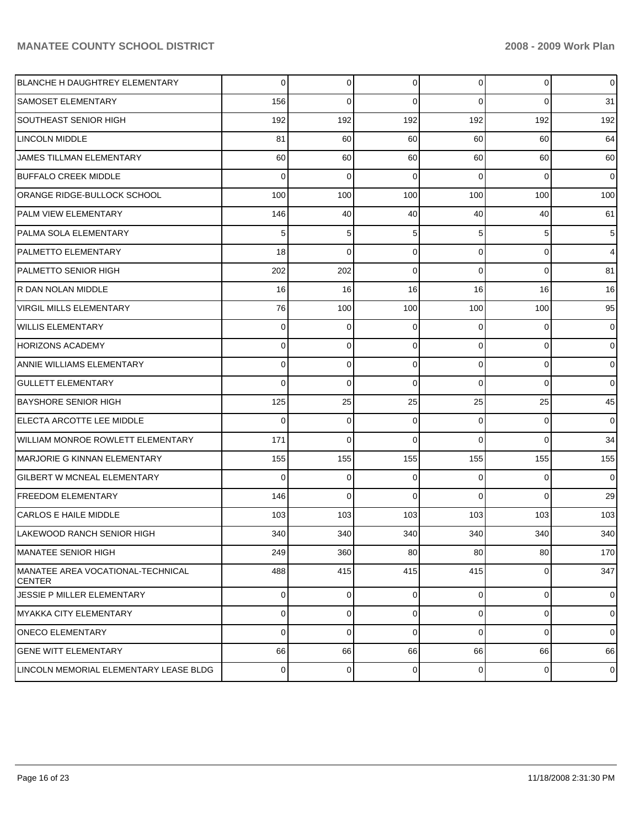| <b>BLANCHE H DAUGHTREY ELEMENTARY</b>               | $\overline{0}$ | 0           | 0           | $\overline{0}$ | 0           | $\overline{0}$ |
|-----------------------------------------------------|----------------|-------------|-------------|----------------|-------------|----------------|
| SAMOSET ELEMENTARY                                  | 156            | $\Omega$    | $\Omega$    | $\Omega$       | $\Omega$    | 31             |
| <b>SOUTHEAST SENIOR HIGH</b>                        | 192            | 192         | 192         | 192            | 192         | 192            |
| <b>LINCOLN MIDDLE</b>                               | 81             | 60          | 60          | 60             | 60          | 64             |
| JAMES TILLMAN ELEMENTARY                            | 60             | 60          | 60          | 60             | 60          | 60             |
| <b>BUFFALO CREEK MIDDLE</b>                         | $\Omega$       | $\Omega$    | $\Omega$    | $\Omega$       | $\Omega$    | $\overline{0}$ |
| <b>ORANGE RIDGE-BULLOCK SCHOOL</b>                  | 100            | 100         | 100         | 100            | 100         | 100            |
| PALM VIEW ELEMENTARY                                | 146            | 40          | 40          | 40             | 40          | 61             |
| PALMA SOLA ELEMENTARY                               | 5              | 5           | 5           | 5              | 5           | 5              |
| PALMETTO ELEMENTARY                                 | 18             | $\Omega$    | $\Omega$    | $\Omega$       | $\Omega$    | $\overline{4}$ |
| <b>PALMETTO SENIOR HIGH</b>                         | 202            | 202         | $\Omega$    | $\Omega$       | $\Omega$    | 81             |
| R DAN NOLAN MIDDLE                                  | 16             | 16          | 16          | 16             | 16          | 16             |
| <b>VIRGIL MILLS ELEMENTARY</b>                      | 76             | 100         | 100         | 100            | 100         | 95             |
| WILLIS ELEMENTARY                                   | $\Omega$       | 0           | $\Omega$    | $\Omega$       | $\Omega$    | $\overline{0}$ |
| <b>HORIZONS ACADEMY</b>                             | $\Omega$       | $\Omega$    | $\Omega$    | $\Omega$       | $\Omega$    | $\overline{0}$ |
| ANNIE WILLIAMS ELEMENTARY                           | $\Omega$       | $\Omega$    | $\Omega$    | $\Omega$       | $\Omega$    | $\overline{0}$ |
| <b>GULLETT ELEMENTARY</b>                           | $\Omega$       | $\Omega$    | $\Omega$    | $\Omega$       | $\Omega$    | $\overline{0}$ |
| <b>BAYSHORE SENIOR HIGH</b>                         | 125            | 25          | 25          | 25             | 25          | 45             |
| ELECTA ARCOTTE LEE MIDDLE                           | $\Omega$       | $\Omega$    | $\Omega$    | $\Omega$       | $\Omega$    | $\Omega$       |
| WILLIAM MONROE ROWLETT ELEMENTARY                   | 171            | $\Omega$    | $\Omega$    | $\Omega$       | $\Omega$    | 34             |
| MARJORIE G KINNAN ELEMENTARY                        | 155            | 155         | 155         | 155            | 155         | 155            |
| <b>GILBERT W MCNEAL ELEMENTARY</b>                  | $\Omega$       | 0           | $\Omega$    | $\Omega$       | $\Omega$    | $\overline{0}$ |
| <b>FREEDOM ELEMENTARY</b>                           | 146            | $\Omega$    | $\Omega$    | $\Omega$       | $\Omega$    | 29             |
| <b>CARLOS E HAILE MIDDLE</b>                        | 103            | 103         | 103         | 103            | 103         | 103            |
| LAKEWOOD RANCH SENIOR HIGH                          | 340            | 340         | 340         | 340            | 340         | 340            |
| <b>MANATEE SENIOR HIGH</b>                          | 249            | 360         | 80          | 80             | 80          | 170            |
| IMANATEE AREA VOCATIONAL-TECHNICAL<br><b>CENTER</b> | 488            | 415         | 415         | 415            | $\Omega$    | 347            |
| JESSIE P MILLER ELEMENTARY                          | $\overline{0}$ | $\mathbf 0$ | $\mathbf 0$ | $\overline{0}$ | $\mathbf 0$ | $\overline{0}$ |
| MYAKKA CITY ELEMENTARY                              | $\overline{0}$ | 0           | 0           | $\overline{0}$ | 0           | $\overline{0}$ |
| <b>ONECO ELEMENTARY</b>                             | $\overline{0}$ | $\mathbf 0$ | $\mathbf 0$ | $\overline{0}$ | $\Omega$    | $\overline{0}$ |
| <b>GENE WITT ELEMENTARY</b>                         | 66             | 66          | 66          | 66             | 66          | 66             |
| LINCOLN MEMORIAL ELEMENTARY LEASE BLDG              | $\mathbf 0$    | 0           | 0           | $\overline{0}$ | 0           | $\mathbf 0$    |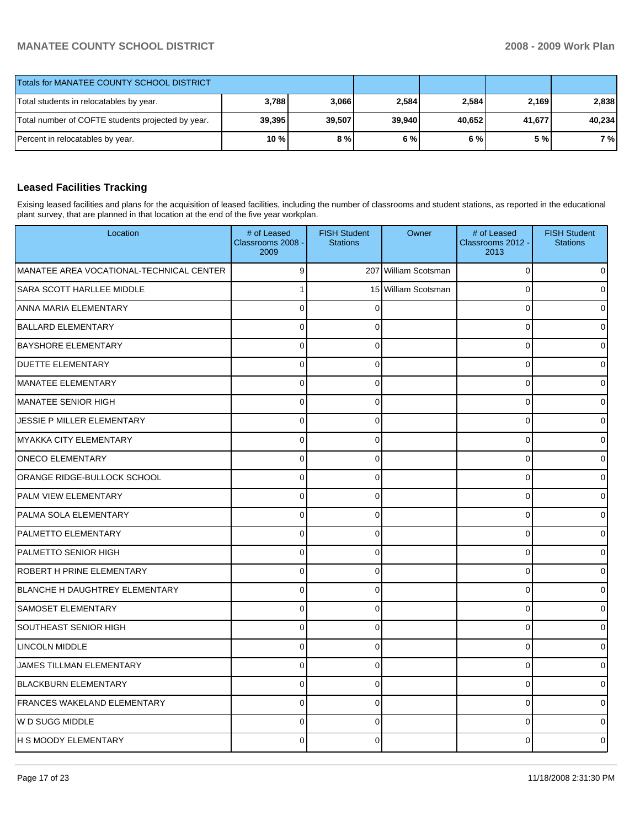| <b>Totals for MANATEE COUNTY SCHOOL DISTRICT</b>  |         |        |        |        |        |        |
|---------------------------------------------------|---------|--------|--------|--------|--------|--------|
| Total students in relocatables by year.           | 3,788   | 3,066  | 2,584  | 2,584  | 2.169  | 2.838  |
| Total number of COFTE students projected by year. | 39,395  | 39,507 | 39.940 | 40.652 | 41,677 | 40.234 |
| Percent in relocatables by year.                  | $10 \%$ | 8 % l  | 6%     | 6%     | 5 %l   | 7 %    |

## **Leased Facilities Tracking**

Exising leased facilities and plans for the acquisition of leased facilities, including the number of classrooms and student stations, as reported in the educational plant survey, that are planned in that location at the end of the five year workplan.

| Location                                 | # of Leased<br>Classrooms 2008 -<br>2009 | <b>FISH Student</b><br><b>Stations</b> | Owner               | # of Leased<br>Classrooms 2012 -<br>2013 | <b>FISH Student</b><br><b>Stations</b> |
|------------------------------------------|------------------------------------------|----------------------------------------|---------------------|------------------------------------------|----------------------------------------|
| MANATEE AREA VOCATIONAL-TECHNICAL CENTER | 9                                        | 207                                    | William Scotsman    | 0                                        |                                        |
| SARA SCOTT HARLLEE MIDDLE                |                                          |                                        | 15 William Scotsman | $\Omega$                                 |                                        |
| ANNA MARIA ELEMENTARY                    | $\Omega$                                 | ŋ                                      |                     | $\mathbf 0$                              |                                        |
| <b>BALLARD ELEMENTARY</b>                | 0                                        | 0                                      |                     | $\mathbf 0$                              |                                        |
| <b>BAYSHORE ELEMENTARY</b>               | 0                                        | $\Omega$                               |                     | $\mathbf 0$                              |                                        |
| <b>DUETTE ELEMENTARY</b>                 | $\Omega$                                 | $\Omega$                               |                     | $\Omega$                                 |                                        |
| MANATEE ELEMENTARY                       | 0                                        | 0                                      |                     | $\mathbf 0$                              |                                        |
| IMANATEE SENIOR HIGH                     | 0                                        | $\Omega$                               |                     | $\mathbf 0$                              |                                        |
| JESSIE P MILLER ELEMENTARY               | $\Omega$                                 | $\Omega$                               |                     | $\mathbf 0$                              |                                        |
| MYAKKA CITY ELEMENTARY                   | 0                                        | 0                                      |                     | $\mathbf 0$                              |                                        |
| <b>ONECO ELEMENTARY</b>                  | 0                                        | $\Omega$                               |                     | $\mathbf 0$                              |                                        |
| ORANGE RIDGE-BULLOCK SCHOOL              | $\Omega$                                 | $\Omega$                               |                     | $\Omega$                                 |                                        |
| <b>PALM VIEW ELEMENTARY</b>              | $\mathbf 0$                              | 0                                      |                     | $\mathbf 0$                              |                                        |
| PALMA SOLA ELEMENTARY                    | 0                                        | $\Omega$                               |                     | $\mathbf 0$                              |                                        |
| <b>PALMETTO ELEMENTARY</b>               | $\Omega$                                 | $\Omega$                               |                     | $\mathbf 0$                              |                                        |
| <b>PALMETTO SENIOR HIGH</b>              | 0                                        | 0                                      |                     | $\mathbf 0$                              |                                        |
| ROBERT H PRINE ELEMENTARY                | 0                                        | $\Omega$                               |                     | $\mathbf 0$                              |                                        |
| BLANCHE H DAUGHTREY ELEMENTARY           | $\Omega$                                 | $\Omega$                               |                     | $\Omega$                                 |                                        |
| SAMOSET ELEMENTARY                       | $\mathbf 0$                              | 0                                      |                     | $\mathbf 0$                              |                                        |
| <b>SOUTHEAST SENIOR HIGH</b>             | $\overline{0}$                           | $\Omega$                               |                     | $\mathbf 0$                              |                                        |
| <b>LINCOLN MIDDLE</b>                    | $\Omega$                                 | $\Omega$                               |                     | $\mathbf 0$                              |                                        |
| JAMES TILLMAN ELEMENTARY                 | 0                                        | 0                                      |                     | $\mathbf 0$                              |                                        |
| <b>BLACKBURN ELEMENTARY</b>              | $\overline{0}$                           | 0                                      |                     | $\mathbf 0$                              |                                        |
| FRANCES WAKELAND ELEMENTARY              | $\Omega$                                 | $\Omega$                               |                     | $\Omega$                                 |                                        |
| IW D SUGG MIDDLE                         | 0                                        | 0                                      |                     | $\mathbf 0$                              |                                        |
| H S MOODY ELEMENTARY                     | $\Omega$                                 | $\Omega$                               |                     | $\Omega$                                 |                                        |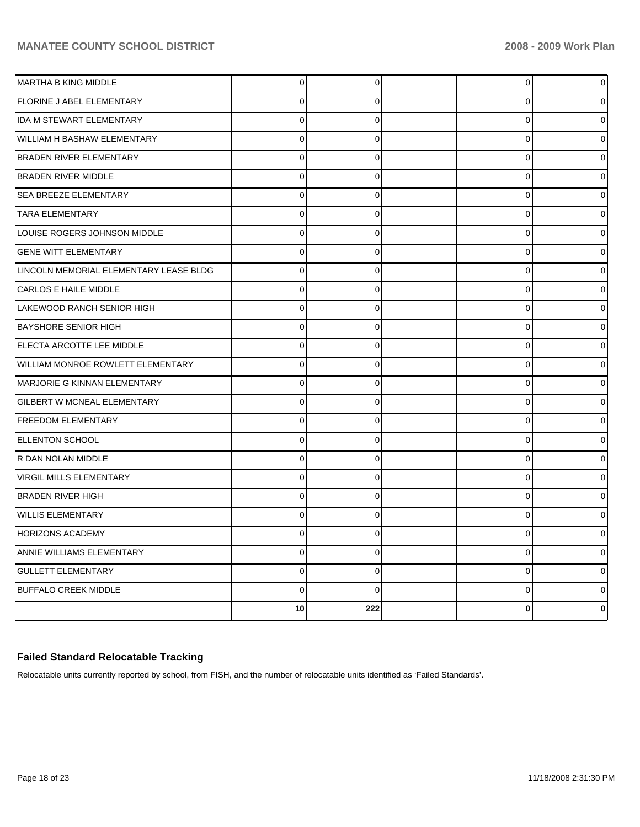| <b>MARTHA B KING MIDDLE</b>            | $\overline{0}$ | 0           | 0           | 0        |
|----------------------------------------|----------------|-------------|-------------|----------|
| <b>FLORINE J ABEL ELEMENTARY</b>       | $\mathbf 0$    | 0           | 0           | $\Omega$ |
| IDA M STEWART ELEMENTARY               | $\pmb{0}$      | $\Omega$    | 0           | 0        |
| WILLIAM H BASHAW ELEMENTARY            | $\mathbf 0$    | $\mathbf 0$ | $\mathbf 0$ | U        |
| <b>BRADEN RIVER ELEMENTARY</b>         | $\mathbf 0$    | 0           | 0           | ი        |
| <b>BRADEN RIVER MIDDLE</b>             | $\mathbf 0$    | 0           | 0           |          |
| <b>SEA BREEZE ELEMENTARY</b>           | $\mathbf 0$    | $\pmb{0}$   | 0           | 0        |
| <b>TARA ELEMENTARY</b>                 | $\mathbf 0$    | $\mathbf 0$ | $\mathbf 0$ |          |
| LOUISE ROGERS JOHNSON MIDDLE           | $\mathbf 0$    | $\mathbf 0$ | $\mathbf 0$ | ∩        |
| <b>GENE WITT ELEMENTARY</b>            | $\mathbf 0$    | 0           | 0           | 0        |
| LINCOLN MEMORIAL ELEMENTARY LEASE BLDG | $\mathbf 0$    | $\mathbf 0$ | $\mathbf 0$ |          |
| <b>CARLOS E HAILE MIDDLE</b>           | $\mathbf 0$    | 0           | 0           | ი        |
| LAKEWOOD RANCH SENIOR HIGH             | $\mathbf 0$    | 0           | 0           |          |
| <b>BAYSHORE SENIOR HIGH</b>            | $\mathbf 0$    | $\pmb{0}$   | 0           | 0        |
| ELECTA ARCOTTE LEE MIDDLE              | $\mathbf 0$    | $\pmb{0}$   | $\mathbf 0$ |          |
| WILLIAM MONROE ROWLETT ELEMENTARY      | $\mathbf 0$    | $\mathbf 0$ | $\mathbf 0$ | ∩        |
| MARJORIE G KINNAN ELEMENTARY           | $\mathbf 0$    | 0           | 0           | 0        |
| GILBERT W MCNEAL ELEMENTARY            | $\mathbf 0$    | $\mathbf 0$ | $\mathbf 0$ |          |
| <b>FREEDOM ELEMENTARY</b>              | $\mathbf 0$    | 0           | 0           | ი        |
| <b>ELLENTON SCHOOL</b>                 | $\mathbf 0$    | 0           | 0           |          |
| R DAN NOLAN MIDDLE                     | $\mathbf 0$    | $\pmb{0}$   | 0           | 0        |
| <b>VIRGIL MILLS ELEMENTARY</b>         | $\pmb{0}$      | $\mathbf 0$ | $\mathbf 0$ |          |
| <b>BRADEN RIVER HIGH</b>               | $\mathbf 0$    | $\mathbf 0$ | $\mathbf 0$ | ∩        |
| <b>WILLIS ELEMENTARY</b>               | $\pmb{0}$      | 0           | 0           | $\Omega$ |
| <b>HORIZONS ACADEMY</b>                | $\mathbf 0$    | $\mathbf 0$ | $\mathbf 0$ | n        |
| ANNIE WILLIAMS ELEMENTARY              | $\mathbf 0$    | $\mathbf 0$ | 0           | 0        |
| <b>GULLETT ELEMENTARY</b>              | $\mathbf 0$    | 0           | 0           |          |
| <b>BUFFALO CREEK MIDDLE</b>            | $\mathbf 0$    | $\Omega$    | $\mathbf 0$ | ი        |
|                                        | 10             | 222         | $\bf{0}$    | 0        |

## **Failed Standard Relocatable Tracking**

Relocatable units currently reported by school, from FISH, and the number of relocatable units identified as 'Failed Standards'.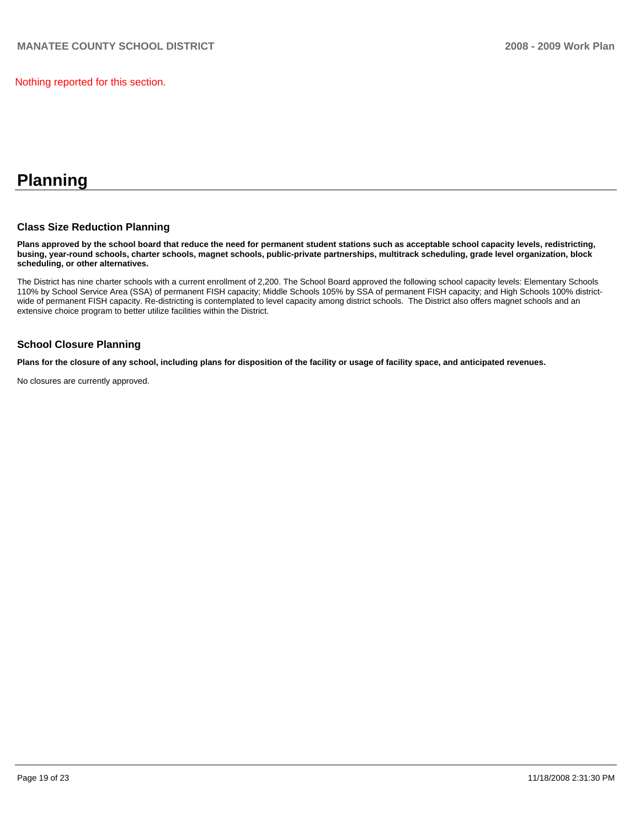Nothing reported for this section.

# **Planning**

#### **Class Size Reduction Planning**

**Plans approved by the school board that reduce the need for permanent student stations such as acceptable school capacity levels, redistricting, busing, year-round schools, charter schools, magnet schools, public-private partnerships, multitrack scheduling, grade level organization, block scheduling, or other alternatives.** 

The District has nine charter schools with a current enrollment of 2,200. The School Board approved the following school capacity levels: Elementary Schools 110% by School Service Area (SSA) of permanent FISH capacity; Middle Schools 105% by SSA of permanent FISH capacity; and High Schools 100% districtwide of permanent FISH capacity. Re-districting is contemplated to level capacity among district schools. The District also offers magnet schools and an extensive choice program to better utilize facilities within the District.

#### **School Closure Planning**

**Plans for the closure of any school, including plans for disposition of the facility or usage of facility space, and anticipated revenues.** 

No closures are currently approved.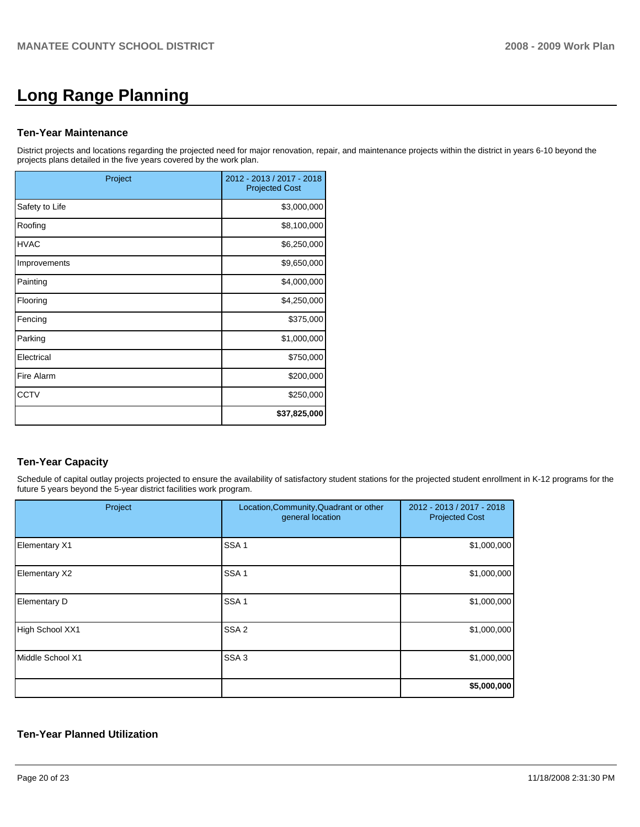# **Long Range Planning**

#### **Ten-Year Maintenance**

District projects and locations regarding the projected need for major renovation, repair, and maintenance projects within the district in years 6-10 beyond the projects plans detailed in the five years covered by the work plan.

| Project        | 2012 - 2013 / 2017 - 2018<br><b>Projected Cost</b> |
|----------------|----------------------------------------------------|
| Safety to Life | \$3,000,000                                        |
| Roofing        | \$8,100,000                                        |
| <b>HVAC</b>    | \$6,250,000                                        |
| Improvements   | \$9,650,000                                        |
| Painting       | \$4,000,000                                        |
| Flooring       | \$4,250,000                                        |
| Fencing        | \$375,000                                          |
| Parking        | \$1,000,000                                        |
| Electrical     | \$750,000                                          |
| Fire Alarm     | \$200,000                                          |
| <b>CCTV</b>    | \$250,000                                          |
|                | \$37,825,000                                       |

# **Ten-Year Capacity**

Schedule of capital outlay projects projected to ensure the availability of satisfactory student stations for the projected student enrollment in K-12 programs for the future 5 years beyond the 5-year district facilities work program.

| Project             | Location, Community, Quadrant or other<br>general location | 2012 - 2013 / 2017 - 2018<br><b>Projected Cost</b> |
|---------------------|------------------------------------------------------------|----------------------------------------------------|
| Elementary X1       | SSA <sub>1</sub>                                           | \$1,000,000                                        |
| Elementary X2       | SSA <sub>1</sub>                                           | \$1,000,000                                        |
| <b>Elementary D</b> | SSA <sub>1</sub>                                           | \$1,000,000                                        |
| High School XX1     | SSA <sub>2</sub>                                           | \$1,000,000                                        |
| Middle School X1    | SSA <sub>3</sub>                                           | \$1,000,000                                        |
|                     |                                                            | \$5,000,000                                        |

#### **Ten-Year Planned Utilization**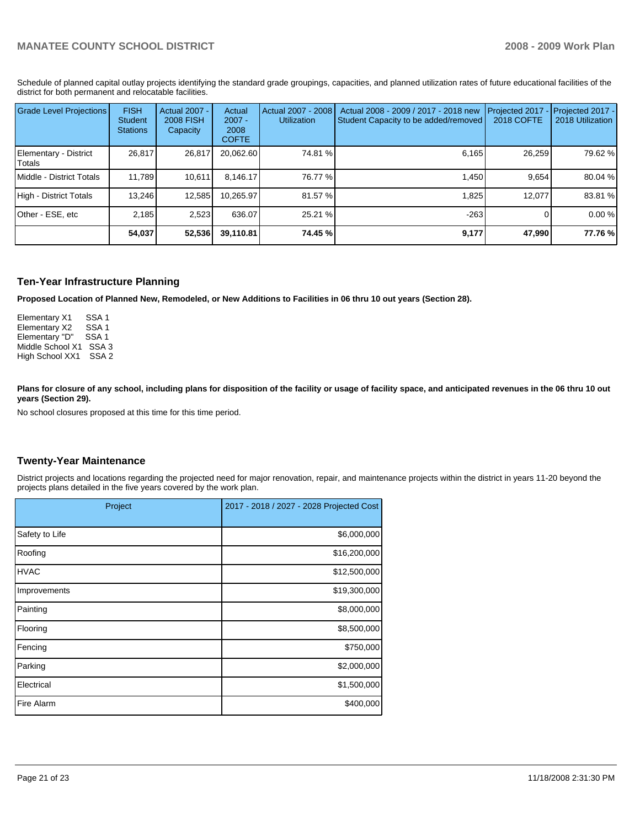Schedule of planned capital outlay projects identifying the standard grade groupings, capacities, and planned utilization rates of future educational facilities of the district for both permanent and relocatable facilities.

| <b>Grade Level Projections</b>    | <b>FISH</b><br>Student<br><b>Stations</b> | <b>Actual 2007 -</b><br><b>2008 FISH</b><br>Capacity | Actual<br>$2007 -$<br>2008<br><b>COFTE</b> | Actual 2007 - 2008<br><b>Utilization</b> | Actual 2008 - 2009 / 2017 - 2018 new<br>Student Capacity to be added/removed | Projected 2017<br><b>2018 COFTE</b> | Projected 2017 -<br>2018 Utilization |
|-----------------------------------|-------------------------------------------|------------------------------------------------------|--------------------------------------------|------------------------------------------|------------------------------------------------------------------------------|-------------------------------------|--------------------------------------|
| Elementary - District<br>l Totals | 26,817                                    | 26,817                                               | 20,062.60                                  | 74.81 %                                  | 6,165                                                                        | 26,259                              | 79.62 %                              |
| Middle - District Totals          | 11.789                                    | 10.611                                               | 8.146.17                                   | 76.77 %                                  | 1.450                                                                        | 9.654                               | 80.04 %                              |
| High - District Totals            | 13.246                                    | 12,585                                               | 10.265.97                                  | 81.57 %                                  | 1,825                                                                        | 12.077                              | 83.81 %                              |
| Other - ESE, etc                  | 2.185                                     | 2,523                                                | 636.07                                     | 25.21 %                                  | $-263$                                                                       |                                     | 0.00%                                |
|                                   | 54,037                                    | 52,536                                               | 39,110.81                                  | 74.45 %                                  | 9,177                                                                        | 47,990                              | 77.76 %                              |

#### **Ten-Year Infrastructure Planning**

**Proposed Location of Planned New, Remodeled, or New Additions to Facilities in 06 thru 10 out years (Section 28).** 

Elementary X1 SSA 1 Elementary X2 SSA 1<br>Elementary "D" SSA 1 Elementary "D" Middle School X1 SSA 3 High School XX1 SSA 2

Plans for closure of any school, including plans for disposition of the facility or usage of facility space, and anticipated revenues in the 06 thru 10 out **years (Section 29).** 

No school closures proposed at this time for this time period.

#### **Twenty-Year Maintenance**

District projects and locations regarding the projected need for major renovation, repair, and maintenance projects within the district in years 11-20 beyond the projects plans detailed in the five years covered by the work plan.

| Project        | 2017 - 2018 / 2027 - 2028 Projected Cost |
|----------------|------------------------------------------|
| Safety to Life | \$6,000,000                              |
| Roofing        | \$16,200,000                             |
| <b>HVAC</b>    | \$12,500,000                             |
| Improvements   | \$19,300,000                             |
| Painting       | \$8,000,000                              |
| Flooring       | \$8,500,000                              |
| Fencing        | \$750,000                                |
| Parking        | \$2,000,000                              |
| Electrical     | \$1,500,000                              |
| Fire Alarm     | \$400,000                                |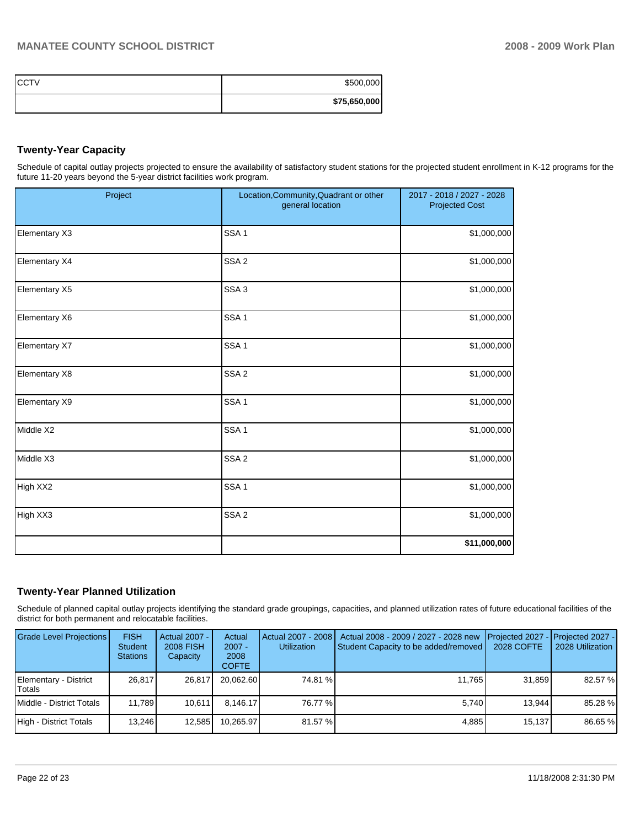| ICCTV | \$500,000    |
|-------|--------------|
|       | \$75,650,000 |

# **Twenty-Year Capacity**

Schedule of capital outlay projects projected to ensure the availability of satisfactory student stations for the projected student enrollment in K-12 programs for the future 11-20 years beyond the 5-year district facilities work program.

| Project              | Location, Community, Quadrant or other<br>general location | 2017 - 2018 / 2027 - 2028<br><b>Projected Cost</b> |
|----------------------|------------------------------------------------------------|----------------------------------------------------|
| Elementary X3        | SSA <sub>1</sub>                                           | \$1,000,000                                        |
| <b>Elementary X4</b> | SSA <sub>2</sub>                                           | \$1,000,000                                        |
| Elementary X5        | SSA <sub>3</sub>                                           | \$1,000,000                                        |
| Elementary X6        | SSA <sub>1</sub>                                           | \$1,000,000                                        |
| Elementary X7        | SSA <sub>1</sub>                                           | \$1,000,000                                        |
| Elementary X8        | SSA <sub>2</sub>                                           | \$1,000,000                                        |
| Elementary X9        | SSA <sub>1</sub>                                           | \$1,000,000                                        |
| Middle X2            | SSA <sub>1</sub>                                           | \$1,000,000                                        |
| Middle X3            | SSA <sub>2</sub>                                           | \$1,000,000                                        |
| High XX2             | SSA <sub>1</sub>                                           | \$1,000,000                                        |
| High XX3             | SSA <sub>2</sub>                                           | \$1,000,000                                        |
|                      |                                                            | \$11,000,000                                       |

## **Twenty-Year Planned Utilization**

Schedule of planned capital outlay projects identifying the standard grade groupings, capacities, and planned utilization rates of future educational facilities of the district for both permanent and relocatable facilities.

| <b>Grade Level Projections</b>  | <b>FISH</b><br><b>Student</b><br><b>Stations</b> | Actual 2007 -<br><b>2008 FISH</b><br>Capacity | Actual<br>$2007 -$<br>2008<br><b>COFTE</b> | Actual 2007 - 2008  <br><b>Utilization</b> | Actual 2008 - 2009 / 2027 - 2028 new<br>Student Capacity to be added/removed | 2028 COFTE | Projected 2027 - Projected 2027 -<br>2028 Utilization |
|---------------------------------|--------------------------------------------------|-----------------------------------------------|--------------------------------------------|--------------------------------------------|------------------------------------------------------------------------------|------------|-------------------------------------------------------|
| Elementary - District<br>Totals | 26.817                                           | 26.817                                        | 20.062.60                                  | 74.81 %                                    | 11.765                                                                       | 31.859     | 82.57 %                                               |
| Middle - District Totals        | 11.789                                           | 10.611                                        | 8.146.17                                   | 76.77 %                                    | 5.740                                                                        | 13.944     | 85.28 %                                               |
| High - District Totals          | 13.246                                           | 12,585                                        | 10.265.97                                  | 81.57 %                                    | 4,885                                                                        | 15.137     | 86.65 %                                               |